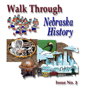

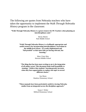The following are quotes from Nebraska teachers who have taken the opportunity to implement the *Walk Through Nebraska History* program in the classroom:

**"Walk Through Nebraska History is a great resource for PE Teachers when planning an interdisciplinary unit."** 

> Becky Martin Park Middle School

**"Walk Through Nebraska History is a brilliantly appropriate and useful resource for incorporating interdisciplinary curriculum in the middle level classes. It is easily implemented and "kid-proofed" so that more kids are having relevant, fun learning."** 

> Mary Claire May Horizon Middle School

"**The thing that has been most exciting to me is the integration of all subject areas! This document lends itself beautifully to teaming. I believe that students' learning greatly increases when they have opportunities to explore one topic in several different classes."**

> Sue Munn Hamlow Elementary School

**"These manuals have been particularly useful in viewing Nebraska studies from an integrated-across the disciplines-approach."** 

> Susan J. Weber Milford Elementary School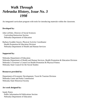# *Walk Through Nebraska History, Issue No. 3 1998*

An integrated curriculum program with tools for introducing materials within the classroom.

# **Developed by:**

John LeFeber, Director of Social Sciences Curriculum/Instruction Section Nebraska Department of Education

Barbara Scudder-Soucie, Physical Activity Coordinator Health Promotion & Education Division Nebraska Department of Health and Human Services

# **Supported by:**

Nebraska Department of Education Nebraska Department of Health and Human Services, Health Promotion & Education Division Nebraska's Governor's Council on Health Promotion & Physical Fitness Nebraska State Council for the Social Studies

# **Resources provided by:**

Department of Economic Development, Travel & Tourism Division Nebraska Game and Parks Commission Nebraska State Historical Society

# **Art work designed by:**

Sandy Peters Public Information & Publications Section Nebraska Department of Education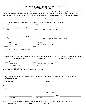### **WALK THROUGH NEBRASKA HISTORY, ISSUE NO. 3 EVALUATION FORM**

Thank you for your interest in this program. To receive a copy of next year's publication, please complete and return this form to Barbara Scudder-Soucie by mail **(NHHS, 301 Centennial Mall South, Lincoln, NE 68509-5044),** or fax **(402/471-6446)**. This evaluation form may also be completed via the Internet at our website **(http://www.nde.state.ne.us/SS/walk\_survey.html).**

| Circle:                                                             | 1. Was the Walk Through Nebraska History, Issue No. 3 program a valuable teaching tool for you?<br>Yes<br>N <sub>0</sub>                                                                                                             |  |  |  |  |  |  |  |
|---------------------------------------------------------------------|--------------------------------------------------------------------------------------------------------------------------------------------------------------------------------------------------------------------------------------|--|--|--|--|--|--|--|
| 2. Was it relevant to your grade level?<br>Circle:                  | Yes<br>No                                                                                                                                                                                                                            |  |  |  |  |  |  |  |
| 3. Did you utilize the resources listed in this edition?<br>Circle: | <u> 1989 - Johann John Stone, markin film ar yn y brenin y brenin y brenin y brenin y brenin y brenin y brenin y</u><br>If yes, for which curricular areas?<br>No<br>Yes                                                             |  |  |  |  |  |  |  |
| Art<br>Mathematics<br><b>General Activities</b>                     | Language Arts<br>__ Physical Education/Health<br>Science                                                                                                                                                                             |  |  |  |  |  |  |  |
|                                                                     | 4. How could these resources be improved?                                                                                                                                                                                            |  |  |  |  |  |  |  |
| $1 =$ Easily Integrated<br>$\rightharpoonup$ Art                    | 5. Overall, categorize curriculum areas by difficulty level of integration into your classroom activities. (Answer all that apply.)<br>$2=$ Medium<br>3=Difficult to Integrate<br>______ Language Arts                               |  |  |  |  |  |  |  |
| ___ Mathematics<br><b>Ceneral Activities</b>                        | __ Physical Education/Health<br>Science                                                                                                                                                                                              |  |  |  |  |  |  |  |
|                                                                     |                                                                                                                                                                                                                                      |  |  |  |  |  |  |  |
| information below:                                                  | 7. Would you be willing to help us with next year's publication? If so, please specify which section(s) and provide the                                                                                                              |  |  |  |  |  |  |  |
|                                                                     |                                                                                                                                                                                                                                      |  |  |  |  |  |  |  |
|                                                                     | School <u>and the second second second second second second second second second second second second second second second second second second second second second second second second second second second second second sec</u> |  |  |  |  |  |  |  |
|                                                                     |                                                                                                                                                                                                                                      |  |  |  |  |  |  |  |
|                                                                     | $City$ $City$ $Zip$ $Line$ $Zip$                                                                                                                                                                                                     |  |  |  |  |  |  |  |
| area code                                                           | area code                                                                                                                                                                                                                            |  |  |  |  |  |  |  |
|                                                                     | Please circle one of the following to indicate how you would like to be involved in development of the next issue:                                                                                                                   |  |  |  |  |  |  |  |

Resource Person Writer Reviewer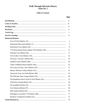# Walk Through Nebraska History **Issue No. 3**

# **Table of Contents**

|                           | <b>Page</b>             |
|---------------------------|-------------------------|
|                           | $\overline{\mathbf{u}}$ |
|                           | iii                     |
|                           | iv                      |
|                           | iv                      |
|                           | V                       |
|                           | V1                      |
| <b>Historical Markers</b> |                         |
|                           | 1                       |
|                           | 5                       |
|                           | 9                       |
|                           | 13                      |
|                           | 17                      |
|                           | 22                      |
|                           | 25                      |
|                           | 29                      |
|                           | 33                      |
|                           | 37                      |
|                           | 41                      |
|                           | 45                      |
|                           | 49                      |
|                           | 52                      |
|                           | 56                      |
|                           | 59                      |
|                           | 63                      |
|                           | 67                      |
|                           | 71                      |
|                           | 75                      |
|                           |                         |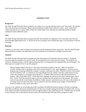### **INTRODUCTION**

#### *Background:*

The *Walk Through Nebraska History* program was written over a one-day period to serve as an "idea-starter" for teachers. This is the third issue to be printed. Please call/email Barbara Scudder-Soucie (402/471-2101), email: doh512k @ vmhost.cdp.state.ne.us or contact John LeFeber via website (http://www.nde.state.ne.us/SS/nehist.html) for further explanation and/or additional copies.

#### *Goal:*

The *Walk Through Nebraska History* program provides the possibility for integration of all curriculum areas from the fourth through eighth grade levels. A section on Service Learning is also included (See page vi for description of Service Learning).

#### *Rationale:*

Creativity is a necessity when working in the classroom and this program provides exactly that. With the *Walk Through Nebraska History* program, the opportunity exists for expanded use of materials in multiple curricular areas.

#### *Summary:*

The *Walk Through Nebraska History* program provides information on 20 Nebraska historical markers. Integrated curricular ideas are included to be used as "tools" for learning both in the classroom and at home. The program was written by Nebraska teachers with the understanding that this is a starting point and expanded ideas are encouraged! The following is an example of how to use this program:

 Start by having students exercise as a class from one historical marker to the next. Miles are earned by actually walking a mile or equating a mile with a certain amount of time spent engaging in activities such as jumping rope or playing softball (for example, 5 minutes could equal one mile). Physical activities with families may be included as well. As students are accruing mileage from one marker to the next, math instructors may create story problems to accompany the program (i.e., if Johnnie bikes and Susie walks between historical markers, who will get there first?). At the same time, language arts instructors may have students keep a log of their "travels" from one historical maker to the next, perhaps from the perspective of the pioneer. The science instructor may decide to teach about the different weather patterns experienced across the state as the students are "traveling" from one end to the other. The art instructor may have students paint, design, or mold different historical markers as they "come upon them."

As you can see, students are not actually physically traveling to the different historical markers, but they are learning about them in different classrooms simultaneously as if they were actually making the trek like the pioneers did. It is up to the school to decide if an historical site is close enough for them to take a field trip and visit. Families may also decide to tour Nebraska with an educational incentive such as the *Walk Through Nebraska History* program in mind.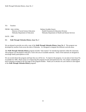TO: Teachers

FROM: John LeFeber Barbara Scudder-Soucie

 Director of Social Science Education Health Promotion & Education Division Nebraska Department of Education Nebraska Department of Health and Human Services

DATE: 1998

RE: *Walk Through Nebraska History, Issue No. 3*

We are pleased to provide you with a copy of the *Walk Through Nebraska History, Issue No. 3*. This program was developed by teachers from across the state of Nebraska. It is designed to integrate the different curricula areas.

The *Walk Through Nebraska History* program includes "idea-starters" for introducing materials within the classroom. This program was developed to help fill a void in the area of available materials. Some of the materials are designed to encourage family participation as well.

We are excited about this program and hope that you will be too. To improve the program, it is our plan to have Issue No. 4 available for 1999. Please assist us in improving this program for the anticipated Issue No. 4 by simply completing the brief evaluation included as the first page of this program booklet. Thank you in advance for your interest in and support of the *Walk Through Nebraska History* program!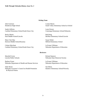### *Writing Team*

Julie Goertzen Lonnie Moore

Sandy Jefferies Laura Parson Cardinal Elementary School/South Sioux City Conestoga Elementary School/Nehawka

Becky Martin Bob Rung

Mary Clair May Susan Weber Horizon Middle School/Kearney Milford Elementary School

Celeste Merchant LaVonne Uffelman Cardinal Elementary School/South Sioux City Nebraska Department of Education

Henderson High School South Valley Elementary School at Oxford

Park Middle School/Lincoln McPhee Elementary School/Lincoln

#### *Reviewers*

Marybell Avery **Richard Spencer** Richard Spencer

Barbara Fraser LaVonne Uffelman Nebraska Department of Health and Human Services Nebraska Department of Education

Sally Husen Sue Munn Nebraska Governor's Council on Health Promotion Hamlow Elementary School/Waverly & Physical Fitness

Lincoln Public Schools Nebraska State Historical Society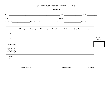# **WALK THROUGH NEBRASKA HISTORY, Issue No. 3**

# **Travel Log**

|                                            | <b>Monday</b> | <b>Tuesday</b> | Wednesday | <b>Thursday</b> | Friday | <b>Saturday</b> | <b>Sunday</b> |                              |
|--------------------------------------------|---------------|----------------|-----------|-----------------|--------|-----------------|---------------|------------------------------|
| Date                                       |               |                |           |                 |        |                 |               |                              |
| Activity                                   |               |                |           |                 |        |                 |               | <b>TOTAL</b><br><b>MILES</b> |
| Time/Distance                              |               |                |           |                 |        |                 |               |                              |
| How Do you<br>Feel About<br>This Activity? |               |                |           |                 |        |                 |               |                              |
| Adult<br>Signature                         |               |                |           |                 |        |                 |               |                              |

\_\_\_\_\_\_\_\_\_\_\_\_\_\_\_\_\_\_\_\_\_\_\_\_\_\_\_\_\_\_\_\_\_\_\_\_\_\_\_\_\_\_\_\_\_\_\_\_\_\_\_\_\_ \_\_\_\_\_\_\_\_\_\_\_\_\_\_\_\_\_\_\_\_\_\_\_\_\_ \_\_\_\_\_\_\_\_\_\_\_\_\_\_\_\_\_\_\_\_\_\_\_\_\_

Student Signature Date Completed Total Miles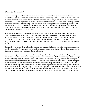# **What is Service Learning?**

Service Learning is a method under which students learn and develop through active participation in thoughtfully organized service experiences that meet actual community needs. These service experiences are coordinated in collaboration with the school and community, and are integrated into the student's academic curriculum. The process provides structured time for students to think, talk, or write about what they did and saw during the actual service activity. This provides students with opportunities to use newly acquired skills and knowledge in real-life situations in their own communities. Service Learning enhances what is taught in school by extending student learning beyond the classroom and into the community and helps to foster the development of a sense of caring for others.

*Walk Through Nebraska History* provides students opportunities to combine many different academic skills in providing a service to the community. Defining the community to be served is one of the many activities students engage in before starting a project. The community could be a town, city, village, school, school district, county or state. The element that is central to Service Learning is a project. The project provides students the opportunity to utilize higher order thinking skills and to apply learned cognitive and psychomotor skills.

Community Service and Service Learning are concepts which differ in their intent, but contain some common activity and results. A community service project may not result in a learning activity for the student. Service Learning on the other hand is directly linked to learning.

Service Learning has three components. They are: Preparation, Activity, and Reflection. The preparation phase of the activity is the most important, in order to involve students in the learning activity. *Walk Through Nebraska History* suggests many opportunities to involve students in the learning process. The activity in many cases will be determined by the students as a result of being introduced to the topic. The reflection phase should be planned so that as students are involved in the activity, they are directed to be thinking about the benefits of the activity to the community and to direct their thoughts to what they are learning about the topic. This can be conducted through writing a journal or making reports, both written or verbal. Also, results of their activity should be shared with adults in the community, through articles written to newspapers or reports to clubs or boards. Where possible, the projects should involve adults in the community such as senior citizens.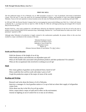#### **FIRST OIL WELL**

**\_\_\_\_\_\_\_\_\_\_\_\_\_\_\_\_\_\_\_\_\_\_\_\_\_\_\_\_\_\_\_\_\_\_\_\_\_\_\_\_\_\_\_\_\_\_\_\_\_\_\_\_\_\_\_\_\_\_\_\_\_\_\_\_\_\_\_\_\_\_\_\_\_\_\_\_\_\_\_\_\_\_\_\_\_\_\_\_\_\_\_\_\_\_\_\_\_\_\_\_\_\_\_\_\_\_\_\_**

The first publicized report of oil in Nebraska was an 1883 newspaper account of a "vein of petroleum" discovered in Richardson County. Over the next 57 years, the search for oil consumed thousands of dollars, and hundreds of wells were drilled throughout Nebraska. Traces of oil were reported at various locations across the state, but Nebraska did not have a producing well until 1940.

In 1939 and 1940, the Pawnee Royalty Company had two encouraging but unsuccessful drillings near Falls City. A third well, known as Bucholz No. 1, was begun near here on April 22, 1940. On May 29, 1940, the well began producing and averaged 169-1/2 barrels daily for the first 60 days.

Bucholz Well No. 1 thus easily qualified for a \$15,000 bonus offered by the Nebraska Legislature for the first oil well in the state to produce at least 50 barrels daily for 60 consecutive days. Interestingly, Bucholz No. 1 was located about five miles east of the "vein of petroleum" reported in 1883.

Although today Nebraska's oil production is largely centered in the southwestern panhandle, the pioneer efforts in this area have resulted in a major contribution to the economy of the state.

> Nebraska Petroleum Council Historical Land Mark Council Nebraska 4, west of Falls City Richardson County Marker 79 (Distance between Marker 42 and Marker 79 is 561.7 miles.)

#### **Health and Physical Education**

- · Walk the distance of the height of an oil rig.
- · What health products and medicines are dependent upon oil?
- · What are the health risks associated with petroleum products and their production? For animals?
- · What are the occupational risks involved in working on an oil rig?

#### **Math**

- · How many gallons of gasoline can be produced from a barrel of oil?
- · What would this first well be worth with today's price of oil?
- · Graph the production output of the major oil areas of the world.

### **Reading and Writing**

- · Research and write about the history of oil in Nebraska.
- · Interview a manager of a local gasoline station or Co-op to find out where their supply of oil/gasoline comes from.
- · Write about one day in the life of an oil rig worker.
- · Write a report about a major oil spill and its effect on the environment.
- · Journal on fighting an out of control fire in or near an oil refinery.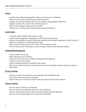### **Science**

- · Compare and contrast the geographical make-up of the oil sites in Nebraska.
- · What were the natural resources present which formed oil?
- · Compare and contrast Nebraska and Texas oil supplies and geographical differences.
- · Diagram or make a flow chart of the oil refinery process.
- · What are the ecological implications of oil spills?
- · Develop a list of all the positive benefits from oil and its production.

# **Social Studies**

- · Locate the major oil fields of the world on a map.
- · Compare the oil production of Nebraska with the United States and Iraq.
- · Research who qualified for the \$15,000 bonus offered by the Nebraska Legislature in 1940. Find out if bonuses or incentives are still being offered today.

**\_\_\_\_\_\_\_\_\_\_\_\_\_\_\_\_\_\_\_\_\_\_\_\_\_\_\_\_\_\_\_\_\_\_\_\_\_\_\_\_\_\_\_\_\_\_\_\_\_\_\_\_\_\_\_\_\_\_\_\_\_\_\_\_\_\_\_\_\_\_\_\_\_\_\_\_\_\_\_\_\_\_\_\_\_\_\_\_\_\_\_\_\_\_\_\_\_\_\_\_\_\_\_\_\_\_\_\_**

- · Write a letter and find out what is left of the oil vein reported in 1883.
- · Find out what percent of Nebraska's current economy is based on the petroleum industry.

# **Visual and Performing Arts**

- · Create a model of an oil rig.
- · Make a diorama of an oil refinery.
- · View Fires of Kuwait video (available at Hastings IMAX Museum).
- · Compare oil and acrylic paints.
- · Create a painting using half oil and half acrylic paints.
- · Write an art museum to find out what percent of the museum printings are done with oils, acrylics, or other paints.

# **Service Learning**

- · Develop a plan for recycling oil in your community and establish that plan.
- · Find a place where one can recycle plastics.
- · Find out what your school does with the used oil products from the school vehicles.

# **General Activities**

- · Discover other oil field sites in Nebraska.
- · Discover businesses in Nebraska that service the oil business.
- · Discover other natural resources that are mined (uranium, gravel) in Nebraska.
- · Discover environmental impact of oil production in Nebraska.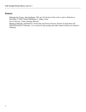### **Resources**

· Nebraska Our Towns...East Southeast, 1992, pg. 181 (picture of first well to come to Nebraska in November 2, 1939), Taylor Publishing Co., Dallas, Texas

**\_\_\_\_\_\_\_\_\_\_\_\_\_\_\_\_\_\_\_\_\_\_\_\_\_\_\_\_\_\_\_\_\_\_\_\_\_\_\_\_\_\_\_\_\_\_\_\_\_\_\_\_\_\_\_\_\_\_\_\_\_\_\_\_\_\_\_\_\_\_\_\_\_\_\_\_\_\_\_\_\_\_\_\_\_\_\_\_\_\_\_\_\_\_\_\_\_\_\_\_\_\_\_\_\_\_\_\_**

- · Fires of Kuwait, a video, Hastings Museum
- · Mining in Nebraska, published by Conservation and Survey Division, Institute of Agriculture and Natural Resources in Nebraska. It is a source for discovering what other natural resources are mined in Nebraska.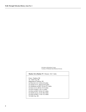Oil fields in Richardson County Courtesy of Nebraska State Historical Society

### **Marker 42 to Marker 79** Distance 561.7 miles From: Chadron, NE To: Falls City, NE Beginning at Chadron, NE Go West on U.S. I 20 for 0.9 miles Go South on U.S. 385 for 93.0 miles Go Southeast on HWY 26 for 87.2 miles Go East on U.S. 80 for 271.0 miles Go East on HWY 2 for 3.2 miles Go East on HWY 34 for 41.5 miles Go South on U.S. 75 for 49.4 miles Go East on HWY 73 for 15.5 miles To Falls City, NE

**\_\_\_\_\_\_\_\_\_\_\_\_\_\_\_\_\_\_\_\_\_\_\_\_\_\_\_\_\_\_\_\_\_\_\_\_\_\_\_\_\_\_\_\_\_\_\_\_\_\_\_\_\_\_\_\_\_\_\_\_\_\_\_\_\_\_\_\_\_\_\_\_\_\_\_\_\_\_\_\_\_\_\_\_\_\_\_\_\_\_\_\_\_\_\_\_\_\_\_\_\_\_\_\_\_\_\_\_**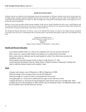#### **HOMESTEAD MOVEMENT**

**\_\_\_\_\_\_\_\_\_\_\_\_\_\_\_\_\_\_\_\_\_\_\_\_\_\_\_\_\_\_\_\_\_\_\_\_\_\_\_\_\_\_\_\_\_\_\_\_\_\_\_\_\_\_\_\_\_\_\_\_\_\_\_\_\_\_\_\_\_\_\_\_\_\_\_\_\_\_\_\_\_\_\_\_\_\_\_\_\_\_\_\_\_\_\_\_\_\_\_\_\_\_\_\_\_\_\_\_**

Abraham Lincoln was called the Great Emancipator because his proclamation of 1862 gave freedom to the slaves. In that same year, he signed another extremely important document that gave land to free men. No single act had more effect on the Middle West and Great Plains than the Homestead Act of May 20, 1862. It brought tens of thousands of land-hungry settlers to the region that was to become the nation's breadbasket.

Millions of acres from the public domain became available. Under this law, heads of families had only to pay a small filing fee and live upon and cultivate their 160 acres for five years. For some, the rigors of frontier life were too great, but many others replaced the prairie grasses with grain and built homes, often of sod, on land of their own.

The Homestead National Movement of America, a part of our National Park System, is located on the Daniel Freeman homestead seven miles west of this site. It commemorates this act and the policies of government that played a major role in the settlement of the West.

> Historical Land Mark Council North of Beatrice at airport on U.S. 77 Gage County Marker 7 (Distance between Marker 79 and Marker 7 is 72.1 miles.)

### **Health and Physical Education**

- · Learn about frostbite-what it is, what are its symptoms, how can you prevent and treat it?
- · Plan a menu for a typical settler family and compare it to a typical menu from today.
- · Have a plow relay (a cultivator may be used instead of a plow). See which team can plow the straightest, fastest, etc.
- $\cdot$  Have students record the amount of time it takes to walk from X to Y. This would represent the distance from the claims office to Daniel Freeman's homestead. Calculate the time to walk this distance based on the students' times.

### **Math**

- · Compare and contrast costs of filing fees in 1862 to filing fees of 1998.
- · What percentage of the average income was the \$10 filing fee?
- · What percentage of a section of land is one hundred and sixty acres?
- · Use graph paper as a visual aid to understand how large an area 160 acres covers.
- · Compare the horse vs. the tractor by discovering how many horses were in an average team. Then compare the size of the machinery in 1862 with the sizes of machinery today. An implement dealer could be an excellent source for this discovery activity.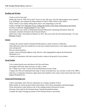# **Reading and Writing**

- · Create an ad for free land.
- · Debate the issue of "Why Free Land?" Focus on why 160 acres, why the improvements were required (e.g. buildings), and compare the improvements to land in 1862 to those in the 1990's.

**\_\_\_\_\_\_\_\_\_\_\_\_\_\_\_\_\_\_\_\_\_\_\_\_\_\_\_\_\_\_\_\_\_\_\_\_\_\_\_\_\_\_\_\_\_\_\_\_\_\_\_\_\_\_\_\_\_\_\_\_\_\_\_\_\_\_\_\_\_\_\_\_\_\_\_\_\_\_\_\_\_\_\_\_\_\_\_\_\_\_\_\_\_\_\_\_\_\_\_\_\_\_\_\_\_\_\_\_**

- · Write a letter to your family telling about what is now happening in your life.
- · Explore readings from Nebraska Voices, Telling the Stories of Our State, Pioneering on the Prairie by Henry Lambrecht, Pound on Rain by Clay Capek.
- · Have students write a letter to Homestead National Monument requesting information about the monument. (Include information the Freeman School.)
- · Read Clara Colby's description of Beatrice in 1872, nine years after the first homestead (pp 7-10, 125 Nebraska Voices).

# **Science**

- · Compare the annual rainfall at Homestead Monument to other locations in Nebraska.
- · What differences does the rainfall have on the type of plants found native to the region, particularly trees and grasses?
- · Discuss natural disasters.
- · Using a current Nebraska highway map, discover what topographical regions the Homestead Monument is in.
- · Conduct an experiment with native prairie seeds to observe the growth of root systems.

# **Social Studies**

- · Visit a natural prairie area and observe the flora and fauna.
- · Investigate and list the steps necessary to stake a claim.
- · Do a "Stake your Claim" activity from the Homestead Activity Guide.
- · Compare the 160 acre homestead farm today in terms of productivity, size, income, to that of the 1800's.
- · Interview a Cooperative Extension Agent about farm families in the county whose farms date back to the original Homestead Act.

# **Visual and Performing Arts**

- · Collect and display native flowers and grasses by creating a booklet of these.
- · Make models of various pioneer homes and include a list of their advantages and disadvantages.
- · Write and perform a play based on one of the readings listed in Resources section.
- · Develop a floor plan for the Freeman home. Include household furniture.
- · Compare the square footage per person of the Freeman home to your home.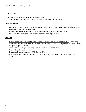# **Service Learning**

- · Volunteer to clean local parks and points of interest.
- · Adopt a corner and plant trees or natural grasses. Maintain for the school year.

# **General Activities**

· Find out how many students attended the Freeman School in 1870. What people from homesteads in the surrounding areas attended the school?

**\_\_\_\_\_\_\_\_\_\_\_\_\_\_\_\_\_\_\_\_\_\_\_\_\_\_\_\_\_\_\_\_\_\_\_\_\_\_\_\_\_\_\_\_\_\_\_\_\_\_\_\_\_\_\_\_\_\_\_\_\_\_\_\_\_\_\_\_\_\_\_\_\_\_\_\_\_\_\_\_\_\_\_\_\_\_\_\_\_\_\_\_\_\_\_\_\_\_\_\_\_\_\_\_\_\_\_\_**

- · Discover if there are any sections of native prairie/grasses in your community or county.
- · Find out if there are original homestead buildings still standing in your area.

# **Resources**

- · Homesteading: The Free Land Idea: An Activity Guide for Teachers Grades 4 through 6, produced by Homestead National Monument of America, National Park Service, U.S. Department of Interior, 1996, \$10 plus shipping & handling
- · Twyla Hansen, Wesleyan University-Lincoln, Nebraska, Grounds Keeper
- · County Extension Office
- · Homestead National Monument, RFD, Beatrice, NE
- · Nebraska Voices Telling the Stories of Our State, Nebraska Humanities Council, Nebraska Q125, 1993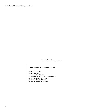Homestead Movement Courtesy of Nebraska State Historical Society

#### **Marker 79 to Marker 7** Distance: 72.1 miles

**\_\_\_\_\_\_\_\_\_\_\_\_\_\_\_\_\_\_\_\_\_\_\_\_\_\_\_\_\_\_\_\_\_\_\_\_\_\_\_\_\_\_\_\_\_\_\_\_\_\_\_\_\_\_\_\_\_\_\_\_\_\_\_\_\_\_\_\_\_\_\_\_\_\_\_\_\_\_\_\_\_\_\_\_\_\_\_\_\_\_\_\_\_\_\_\_\_\_\_\_\_\_\_\_\_\_\_\_**

 From: Falls City, NE To: Beatrice, NE Beginning at Falls City, NE Go Northwest on US 73, U.S. 159 for 19.6 miles Go West on HWY 4 for 16.8 miles Go West on HWY 50 1.4 miles Go West on HWY 4 for 34.3 miles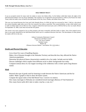#### **HALF-BREED TRACT**

**\_\_\_\_\_\_\_\_\_\_\_\_\_\_\_\_\_\_\_\_\_\_\_\_\_\_\_\_\_\_\_\_\_\_\_\_\_\_\_\_\_\_\_\_\_\_\_\_\_\_\_\_\_\_\_\_\_\_\_\_\_\_\_\_\_\_\_\_\_\_\_\_\_\_\_\_\_\_\_\_\_\_\_\_\_\_\_\_\_\_\_\_\_\_\_\_\_\_\_\_\_\_\_\_\_\_\_\_**

It was an accepted custom for many early fur traders to marry into Indian tribes. As the Indians ceded their lands, the rights of the half-breed descendants were not always identified. This situation was recognized by the government in 1830, by the Prairie Du Chien Treaty which set aside a tract of land for the half-breeds of the Oto, Iowa, Omaha, and Santee Sioux tribes.

This tract was located between the Great and Little Nemaha Rivers. In 1838, the land was surveyed by John C. McCoy, who placed the western boundary eight miles west of the river instead of ten miles as specified. This caused problems, as later white settlers were to settle on Indian lands west of McCoy's line. Congress ordered the land resurveyed, and in 1858 the McCoy line was made official. On September 10, 1860, Louis Neal received the first patent.

The owners were never required to live on their property and many eventually sold their lands to whites. One of the original survey lines is now partly identified by the Half-Breed Road which runs in a southeast direction from here. The descendants of some pioneer fur traders still live in the area.

> Auburn Community Betterment Council Historical Land Mark Council U.S. 136, east of Auburn Nemaha County Marker 58 (Distance between Marker 7 and Marker 58 is 51.9 miles.)

### **Health and Physical Education**

- · List at least five ways of handling disputes.
- · Make a list of diseases brought to the Nebraska Territory and describe how they affected the Native American population.
- · Determine the physical fitness characteristics needed to be a fur trader. Include survival skills.
- · Discuss challenges which couples from different racial or ethnic backgrounds face today.
- · Compare/contrast dress of a fur trapper traveling in the wilderness with a winter sports long distance runner.

### **Math**

- · Research the type of goods used for bartering in trade between the Native Americans and the fur traders. Make a graph or chart to show the barter system.
- · Compute the square miles of the Half Breed Tract. Convert it to metrics.
- · How many marriages in Nebraska are considered mixed marriages (Bureau of Vital Statistics)?
- · How many beaver pelts did it take to make a top hat, a coat, etc.?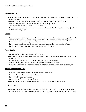# **Reading and Writing**

· Write to the Auburn Chamber of Commerce to find out more information or specific stories about the Half-Breed Road.

**\_\_\_\_\_\_\_\_\_\_\_\_\_\_\_\_\_\_\_\_\_\_\_\_\_\_\_\_\_\_\_\_\_\_\_\_\_\_\_\_\_\_\_\_\_\_\_\_\_\_\_\_\_\_\_\_\_\_\_\_\_\_\_\_\_\_\_\_\_\_\_\_\_\_\_\_\_\_\_\_\_\_\_\_\_\_\_\_\_\_\_\_\_\_\_\_\_\_\_\_\_\_\_\_\_\_\_\_**

- · Research Logan Fontenelle, an Omaha Chief, who was half French and half Omaha.
- · Compare trapping then and now in terms of methods and equipment.
- · Journal your experience as a person of a mixed race.
- · Compare and contrast the philosophy of education between the Fur Trading French (Jesuit) and the Native American groups.

### **Science**

- · Invite a professional surveyor to visit the classroom to demonstrate and have students practice with equipment. Compare and contrast equipment of the 1800s with current surveying equipment.
- · Compare and contrast tanning of hides then and now.
- · Invite a local Muzzleloader to demonstrate tanning of hides, and to show a variety of hides.
- · Invite a representative from the Tandy Leather Company to speak.

### **Social Studies**

- · Identify and mark McCoy's line on a Nebraska map.
- · List, research, and discuss some other mixed ancestry groups in Nebraska, the United States, or the world (e.g. Mestizo).
- · Discuss what prejudices exist for mixed marriages and mixed ancestries.
- · What are the opportunities available for people of Native American ancestry?
- · Write the Bureau of Indian Affairs to inquire about statistics about fur trader/Indian marriages.

### **Visual and Performing Arts**

- · Compare French art of the mid-1800s with Native American art.
- · View a video of a Powwow or visit a Powwow.
- · Invite a Native American speaker.
- · Invite a group of Native American dancers.
- · Research the art produced by the traveling artists of the day (Catlin, Bodmer, etc.).

### **Service Learning**

· Get current calendar information concerning local ethnic events and then create a local calendar. Participate in an event (ex. help with planning, contacting participants, and with publicity of event).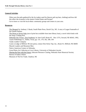# **General Activities**

· What were the pelts gathered by the fur traders used for (beaver pelt top hats, clothing) and how did this affect the economy in the eastern United States and Europe?

**\_\_\_\_\_\_\_\_\_\_\_\_\_\_\_\_\_\_\_\_\_\_\_\_\_\_\_\_\_\_\_\_\_\_\_\_\_\_\_\_\_\_\_\_\_\_\_\_\_\_\_\_\_\_\_\_\_\_\_\_\_\_\_\_\_\_\_\_\_\_\_\_\_\_\_\_\_\_\_\_\_\_\_\_\_\_\_\_\_\_\_\_\_\_\_\_\_\_\_\_\_\_\_\_\_\_\_\_**

· Get to know or visit the local ethnic community groups and centers in your area.

# **Resources**

- · The Mongrel by Anthony J. Barak, South Platte Press, David City, NE. A story of Logan Fontenelle of the Omaha Indians.
- · The House at Seven Oaks (out of print but available from inter-library loan), a novel which deals with the Sarpy Trading Post.
- · Nebraska Our Towns...East Southeast, by Jane Graff, Route #3 · Box 137A, Seward, NE 68343, 1992, Taylor Publishing Co., Dallas, Texas, pp. 131, 179, 182, 189, 194
- · Tandy Leather Company
- · Lease-a-Lodge at Milford, NE (tee-pees), contact Don Strinz Tipi, Inc., Route #1, Milford, NE 68405
- · Muzzle Loaders and Mountain Men
- · Native American Centers in Nebraska
- · Great Plains Art Collection at Love Library, University of Nebraska-Lincoln
- · Sharing the Past with the Future, Educator Resource Catalog, Nebraska State Historical Society
- · Bureau of Indian Affairs
- · Museum of The Fur Trade, Chadron, NE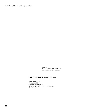Powwow Courtesy of NEBRASKALAND Magazine Nebraska Game and Parks Commission

#### **Marker 7 to Marker 58** Distance: 51.9 miles

**\_\_\_\_\_\_\_\_\_\_\_\_\_\_\_\_\_\_\_\_\_\_\_\_\_\_\_\_\_\_\_\_\_\_\_\_\_\_\_\_\_\_\_\_\_\_\_\_\_\_\_\_\_\_\_\_\_\_\_\_\_\_\_\_\_\_\_\_\_\_\_\_\_\_\_\_\_\_\_\_\_\_\_\_\_\_\_\_\_\_\_\_\_\_\_\_\_\_\_\_\_\_\_\_\_\_\_\_**

 From: Beatrice, NE To: Auburn, NE Beginning at Beatrice, NE Go East on U.S. 136, HWY 4 for 51.9 miles To Auburn, NE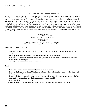#### **1776 BICENTENNIAL PRAIRIE MARKER 1976**

**\_\_\_\_\_\_\_\_\_\_\_\_\_\_\_\_\_\_\_\_\_\_\_\_\_\_\_\_\_\_\_\_\_\_\_\_\_\_\_\_\_\_\_\_\_\_\_\_\_\_\_\_\_\_\_\_\_\_\_\_\_\_\_\_\_\_\_\_\_\_\_\_\_\_\_\_\_\_\_\_\_\_\_\_\_\_\_\_\_\_\_\_\_\_\_\_\_\_\_\_\_\_\_\_\_\_\_\_**

You are overlooking original prairie never broken by a plow. Nebraska looked much like this 200 years ago before the white men came: Grasses on which buffalo, elk, deer, and antelope fed; ground cover for homes for quail, grouse, and prairie chickens; pure spring-fed streams where thirsty animals and birds could drink and where fish spawned; areas where wild strawberries, grapes, plum, and chokecherry bushes bore fruit; walnut, cottonwood, and willow trees provided shade; where colorful flowers bloomedÐwild indigo, purple coneflower, goldenrod, daisy fleabane, ground plum, dogtooth, and crowsfoot violets. A trail once used by the Pawnee Indians is now U.S. Highway 77. The area was shared with the Oto tribe. To the east in 1856, John Prey, A. J. and Richard Wallingford, and others became some of Lancaster County's first settlers. A few miles to the north, the Fort Kearny Cut-off carried wagon trains westward during the 1850's and 1860's. Sod like you see was cut and used by settlers to build homes. This marker rests on railroad land purchased by William Mitchell in the early 1880's and has been preserved by his descendants including his grandson, Charlton Mitchell.

> Elinor L. Brown Nebraska State Historical Society Rest Area south of Crete Corner, Hwy 77 Lancaster County Marker 196 (Distance between Marker 58 and Marker 196 is 77.1 miles.) \*Note: This rest stop was closed at time of printing this document.

### **Health and Physical Education**

- · What vital vitamins and minerals would the homesteader get from plants and animals native to the area?
- · Investigate natural homeopathic, alternative medicines, and home remedies.
- · Compare and contrast the nutritional value of elk, buffalo, deer, and antelope meat to more traditional meats such as beef and pork.
- · Take a hike through a native grass or prairie area.

### **Math**

- · Graph the sizes and numbers of several prairie areas in Nebraska.
- · Discover the length of Highway 77 in Lancaster County. Then calculate how long it would take to walk that distance at a rate of one mile per 20 minutes.
- · Discover the following number combinations whose sum is 200: (1) five consecutive numbers, (2) five consecutive even numbers, and (3) five consecutive multiples of 10.
- · Determine the prime factors for 200.
- · While on a walk, count the different types of plants/vegetation found in a square yard area.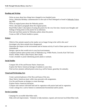### **Reading and Writing**

- · Write an essay about how things have changed in two hundred years.
- · Write a Nebraska Birthday commemorative in the style of Paul Johnsgard as found in Nebraska Voices (pg 160).

**\_\_\_\_\_\_\_\_\_\_\_\_\_\_\_\_\_\_\_\_\_\_\_\_\_\_\_\_\_\_\_\_\_\_\_\_\_\_\_\_\_\_\_\_\_\_\_\_\_\_\_\_\_\_\_\_\_\_\_\_\_\_\_\_\_\_\_\_\_\_\_\_\_\_\_\_\_\_\_\_\_\_\_\_\_\_\_\_\_\_\_\_\_\_\_\_\_\_\_\_\_\_\_\_\_\_\_\_**

- · Write an original poem about the Nebraska prairie.
- · Write a descriptive paragraph about the original prairie.
- · Read Willa Cather's description of seeing the prairie for the very first time. Journal your thoughts and feelings of being alone on the prairie for an afternoon.
- · Find and read three poems by Nebraska authors about the prairie.
- · Create an ABC of Prairie booklet or poster.

# **Science**

- · Which of the animals named on the marker are no longer living in the wild in this area?
- · Investigate why these animals have disappeared.
- · Determine the impact on the environment and on human activity if each of these species were to be reintroduced.
- · Design a species that would exist in your local environment.
- · Compare/contrast native prairie areas of Nebraska (e.g. 9 Mile Prairie, Lincoln; Kasl Tall Grass Prairie, Wilber; Willa Cather Prairie, Red Cloud).
- · Create a booklet or poster identifying prairie plants or animals.

# **Social Studies**

- · Compare life of Oto and Pawnee Native Americans.
- · Explore the Native American heritage of students in your class.
- · Find out how pioneers utilized prairie areas (e.g. sod for houses, grass/hay for animals).

### **Visual and Performing Arts**

- · Create a pictorial glossary of the flora and fauna of the area.
- · Share Native American music while class proceeds with assignments.
- · Use Oto and Pawnee art designs to create drawings.
- · Explore Native American hairstyles.
- · Compare and contrast cultivated land and its vegetation with prairie land and its vegetation.
- · Create a design for a card or button to commemorate bicentennial and/or prairie.

# **Service Learning**

- ·Campaign for accessible hiker/biker trails.
- · Help with trail improvement. Volunteer to help maintain, expand, and renovate local hiker/biker trails.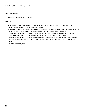# **General Activities**

· Create miniature soddie structures.

### **Resources**

· The Pawnee Indians by George E. Hyde, University of Oklahoma Press. A resource for teachers. Undoubtedly one of the best works on the Pawnee.

**\_\_\_\_\_\_\_\_\_\_\_\_\_\_\_\_\_\_\_\_\_\_\_\_\_\_\_\_\_\_\_\_\_\_\_\_\_\_\_\_\_\_\_\_\_\_\_\_\_\_\_\_\_\_\_\_\_\_\_\_\_\_\_\_\_\_\_\_\_\_\_\_\_\_\_\_\_\_\_\_\_\_\_\_\_\_\_\_\_\_\_\_\_\_\_\_\_\_\_\_\_\_\_\_\_\_\_\_**

- · The First Voices, *Nebraskaland Magazine*, January-February 1984. A good work to understand the life and lifestyles of the nations of Native Americans that made their homes in Nebraska.
- · "Pioneering on the Prairie" by Henry W. Lambrecht, pp 109-111 of Nebraska Voices Telling the Stories of Our State, a Q125 publication of the Nebraska Humanities Council, 1993
- · Contact county agents or soil conservation districts: Kasl Prairie, Wilber, NE (Saline County); Willa Cather Memorial Prairie, Red Cloud, NE (Webster County); 9 Mile Prairie, Lincoln, NE (Lancaster County).
- · Nebraska authors/poets.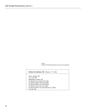Buffalo Courtesy of Nebraska Department of Economic Development

#### **Marker 58 to Marker 196** Distance: 77.1 miles

**\_\_\_\_\_\_\_\_\_\_\_\_\_\_\_\_\_\_\_\_\_\_\_\_\_\_\_\_\_\_\_\_\_\_\_\_\_\_\_\_\_\_\_\_\_\_\_\_\_\_\_\_\_\_\_\_\_\_\_\_\_\_\_\_\_\_\_\_\_\_\_\_\_\_\_\_\_\_\_\_\_\_\_\_\_\_\_\_\_\_\_\_\_\_\_\_\_\_\_\_\_\_\_\_\_\_\_\_**

 From: Auburn, NE To: Crete, NE Beginning at Auburn, NE Go West on U.S. 136 for 18.5 miles Go North on HWY 50 for 3.0 miles Go West on HWY 41 for 28.8 miles Go North on US 77 for 13.1 miles Go West on HWY 33 or Roca Rd for 13.7 miles To Crete, NE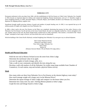#### **NEBRASKA CITY**

**\_\_\_\_\_\_\_\_\_\_\_\_\_\_\_\_\_\_\_\_\_\_\_\_\_\_\_\_\_\_\_\_\_\_\_\_\_\_\_\_\_\_\_\_\_\_\_\_\_\_\_\_\_\_\_\_\_\_\_\_\_\_\_\_\_\_\_\_\_\_\_\_\_\_\_\_\_\_\_\_\_\_\_\_\_\_\_\_\_\_\_\_\_\_\_\_\_\_\_\_\_\_\_\_\_\_\_\_**

Permanent settlement in this area dates from 1846, with the establishment of old Fort Kearny on Table Creek. Nebraska City, founded in 1854, became an important depot for military and commercial freighting. Pioneer businessmen, such as S. F. Nuckolls, sought to attract freighting interests. In 1858, Alexander Majors, of Russell, Majors, and Waddell, decided to use Nebraska City as the point of departure for shipping military supplies west.

Steamboats brought rapidly growing volumes of goods and numbers of people heading west. In 1865, it was reported that up to 40 million pounds of freight were shipped west from Nebraska City.

In 1860, a direct road to the new Fort Kearny on the Platte was completed, shortening that journey by forty miles. Known as the Nebraska City-Fort Kearny Cut-off and also as the Great Central Route, the trail was originally marked by a furrow ploughed in the sod. Another name for this trail, the Steam Wagon Road, resulted from an 1862 experiment. That summer, a locomotive-like "Steam Wagon" attempted to haul cargo to Denver, but soon broke down and was abandoned.

With the building of the Union Pacific Railroad, overland freighting from Nebraska City soon gave way to railroad shipment.

Otoe County Historical Society Historical Land Mark Council Near Arbor Lodge, Nebraska City Otoe County Marker 60 (Distance between Marker 196 and Marker 60 is 69.3 miles.)

### **Health and Physical Education**

- · Walk the tree trail at Morton Orchard across the street from Arbor Lodge.
- · Determine the nutritional value of an apple.
- · List uses for apples in foods (vinegar, jelly, etc.).
- · Take a walk in your community and identify the trees along the way.
- · Develop a walk with markers of all the Nebraska City trolley stops (map available from Chamber of Commerce). At each station, stop and include a physical fitness activity.

### **Math**

- · How many miles are there from Nebraska City to Fort Kearny on the shortest highway route today?
- · How much tonnage weight will a barge carry on the Missouri River?
- · Determine the square footage of Arbor Lodge and compare it to the house where you live.
- · Determine how many trees Joy and J. Sterling Morton planted at Arbor Lodge.
- · Graph the trees and foliage found in Arbor Lodge.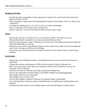# **Reading and Writing**

· Develop descriptive paragraphs of trolley stops/points of interest to be used with the above health and physical education activity.

**\_\_\_\_\_\_\_\_\_\_\_\_\_\_\_\_\_\_\_\_\_\_\_\_\_\_\_\_\_\_\_\_\_\_\_\_\_\_\_\_\_\_\_\_\_\_\_\_\_\_\_\_\_\_\_\_\_\_\_\_\_\_\_\_\_\_\_\_\_\_\_\_\_\_\_\_\_\_\_\_\_\_\_\_\_\_\_\_\_\_\_\_\_\_\_\_\_\_\_\_\_\_\_\_\_\_\_\_**

- · Write a biography or report about Julius Sterling Morton and/or his descendants. (There is a Morton Salt connection.)
- · Investigate the spelling rules for "ie" and "ei" such as in frontier and freighter.
- · Write a commentary for the trolley ride in Nebraska City.
- · Journal a "play day" in the life of the Morton children living at Arbor Lodge.

### **Science**

- · Research the make-up of a steamboat. How was it built in the 1800's? Why did its size vary?
- · What problems did the steamboats face as they traversed the Missouri River?
- · Write the Lied Conference Center in Nebraska City to find out how the building is heated and cooled and about their philosophy on recycling.
- · Explore the trees at Arbor Lodge Historical Parks in terms of type of tree, shape of tree, leaf arrangement, uses of trees, leaf edges, and bark and leaf rubbings.
- · Find out how many animal specimens are housed at the River Country Nature Center (a natural history museum).

### **Social Studies**

- · Research how many Nebraskans besides J. Sterling Morton have served as United States Secretary of Agriculture.
- · Compare the economy and businesses of 1850 with the economy of today in Nebraska City.
- · Make a list of how many "firsts" there are in Nebraska's history found in Nebraska City (e.g. first newspaper, first Fort Kearny).
- · Determine the reason for Nebraska City being an important steamboat port.
- · Discover the organization of Russell, Majors, and Wadell's freight Trains (The Expressmen).
- · What freight comes into your community?
- · What freight is sent out of your city?
- · Tour the Old Freighters' Museum at Nebraska City (Russell, Majors, and Waddell)
- · List J. Sterling Morton's business, political and philanthropic accomplishments including Morton Salt Company.
- · Determine the names and how many buildings appear on the National Register of Historic Places.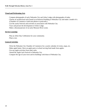# **Visual and Performing Arts**

- · Compare photographs of early Nebraska City and Arbor Lodge with photographs of today.
- · Choose an architectural style found in an historical building at Nebraska City and make a model of it. (Chamber of Commerce could sent photos or postcards.)

**\_\_\_\_\_\_\_\_\_\_\_\_\_\_\_\_\_\_\_\_\_\_\_\_\_\_\_\_\_\_\_\_\_\_\_\_\_\_\_\_\_\_\_\_\_\_\_\_\_\_\_\_\_\_\_\_\_\_\_\_\_\_\_\_\_\_\_\_\_\_\_\_\_\_\_\_\_\_\_\_\_\_\_\_\_\_\_\_\_\_\_\_\_\_\_\_\_\_\_\_\_\_\_\_\_\_\_\_**

- · List the yearly festivals and activities in association with Nebraska City.
- · Trace and picture the development of Arbor Lodge.
- · Make a diorama/picture of an early Missouri River scene.

# **Service Learning**

- · Plan an Arbor Day Celebration for your community.
- · Plant a tree.

# **General Activities**

- · Write the Nebraska City Chamber of Commerce for a yearly calendar of events, maps, etc.
- · Make apple butter. Have an apple party at school serving food made from apples.
- · Use any apple activities from other units.
- · Attend the Apple Jack Festival in Nebraska City.
- · Compare the age of your town and its buildings with those of Nebraska City.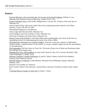### **Resources**

- · From the Missouri to the Great Salt Lake: An Account of Overland Freighting, William E. Lass, Nebraska State Historical Society Publication, Volume XXVI, 1972.
- · Frontier Steamboat Town, Glenn Noble, Midgard Press, Lincoln, NE. A history of the early days of Nebraska City.

**\_\_\_\_\_\_\_\_\_\_\_\_\_\_\_\_\_\_\_\_\_\_\_\_\_\_\_\_\_\_\_\_\_\_\_\_\_\_\_\_\_\_\_\_\_\_\_\_\_\_\_\_\_\_\_\_\_\_\_\_\_\_\_\_\_\_\_\_\_\_\_\_\_\_\_\_\_\_\_\_\_\_\_\_\_\_\_\_\_\_\_\_\_\_\_\_\_\_\_\_\_\_\_\_\_\_\_\_**

- · America Special Days video series (Arbor Day and accompanying teacher manual), Great Plains National, Lincoln, NE 402-472-2007.
- · Nebraskaland Magazine on Architecture.
- · Arbor Lodge State Historical Park, Nebraska City.
- · Lied Foundation and Lied Conference Center, Nebraska City.
- · Arbor Day Foundation and Arbor Farms, Nebraska City.
- · Seventy Years on the Frontier by Alexander Majors (part autobiography, part stories of the West, an outstanding resource for understanding the frontier from 1830 to 1900).
- · The Bullwacker Adventures of a Frontier Freighter, written by a man who worked as a bullwhacker, William Hooker. A good resource for the teacher. It can give valuable insight into the life and problems of the bullwhacker.
- · The Expressmen, Old West Series by Time Life. This book will give lots of detail and illustrations about the workings of the freight trains.
- · Nebraska Our Town...East Southeast, by Jane Graff ( Route #3 Box 137A, Seward, NE 68343, 1992, Taylor Publishing Co. Dallas, Texas.
- · Nebraska Trailblazer, Notable Nebraskans, #5 and #17 *Settler's Homes*, and #20 *Town Builders*, Nebraska State Historical Society.
- · Roadside History of Nebraska, Candy Moulton, Mountain Press Publishing Company, Missoula, Montana, 1997.
- · Nebraska City Chamber of Commerce.
- · River Country Nature Center (private), a natural history museum of taxidermy animals, birds, reptiles, etc.
- · J. Sterling Morton, Founder of Arbor Day by James C. Olson.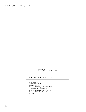Nebraska City Courtesy of Nebraska State Historical Society

#### **Marker 196 to Marker 60** Distance: 69.3 miles

**\_\_\_\_\_\_\_\_\_\_\_\_\_\_\_\_\_\_\_\_\_\_\_\_\_\_\_\_\_\_\_\_\_\_\_\_\_\_\_\_\_\_\_\_\_\_\_\_\_\_\_\_\_\_\_\_\_\_\_\_\_\_\_\_\_\_\_\_\_\_\_\_\_\_\_\_\_\_\_\_\_\_\_\_\_\_\_\_\_\_\_\_\_\_\_\_\_\_\_\_\_\_\_\_\_\_\_\_**

 From: Crete, NE To: Nebraska City, NE Beginning at Crete, NE Go East on HWY 33, HWY 103 for 13.9 miles Go North on US 77 for 8.6 miles Go East on Unnamed Street for 3.4 miles Go East on HWY 2 for 43.4 miles To Auburn, NE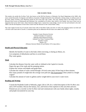#### **THE OX-BOW TRAIL**

This marker sits astride the Ox-Bow Trail, also known as the Old Fort Kearny or Nebraska City Road. Beginning in the 1840's, this route carried thousands of emigrants and millions of pounds of freight destined for the settlements, mining camps, or military posts of the West. Many travelers were Mormons bound for the Great Salt Lake Valley. The trail, looping north to the Platte from such Missouri River towns as Plattsmouth and Nebraska City, resembled an Ox-Bow, after which it was named. Just west of here was an important ford across Salt Creek, where limestone ledges form a natural low-water bridge. Travel over the trail declined in the mid-1860's with the development of more direct routes from the Missouri to the Central Platte Valley.

**\_\_\_\_\_\_\_\_\_\_\_\_\_\_\_\_\_\_\_\_\_\_\_\_\_\_\_\_\_\_\_\_\_\_\_\_\_\_\_\_\_\_\_\_\_\_\_\_\_\_\_\_\_\_\_\_\_\_\_\_\_\_\_\_\_\_\_\_\_\_\_\_\_\_\_\_\_\_\_\_\_\_\_\_\_\_\_\_\_\_\_\_\_\_\_\_\_\_\_\_\_\_\_\_\_\_\_\_**

The water supply for the City of Lincoln comes from wells in the Platte Valley near here. In 1932, this pumping station was built and a 36-inch water main laid to Lincoln. A treatment plant and an additional 48-inch main were added in the 1950's.

> Saunders County Historical Society Ashland Chamber of Commerce Nebraska State Historical Society Ashland City Water Treatment Plant Saunders County Marker 219 (Distance between Marker 60 and Marker 219 is 53.2 miles.)

### **Health and Physical Education**

- · Identify the benefits of water to the body while exercising, or during an illness, etc.
- · List symptoms of dehydration and how to avoid these.
- · Play water games.

### **Math**

- · Calculate the distance from the water wells in Ashland to the Capitol in Lincoln.
- · Figure the age of the roads and the pumping station.
- · Explore the various well depths and graph them.
- · Calculate the volume of water carried through a 36 inch water main 10 feet long in three minutes.
- · How many pounds of weight does the average oxen pull (see The Expressmen) when yoked to a freight wagon?
- · Calculate the amount of water in gallons and/or weight held in your town's water tower.

### **Reading and Writing**

- · Consult the Roadside Guide to Nebraska, pages 226 to 229, for a verbal description of the Ox-Bow area and a UFO incident. Discuss the fantasy, fact, and fiction of the explorers to this area then and now.
- · Pretend you are a traveler on the Ox-Bow trail and communicate with your family about sights, sounds, and people encountered on your trip.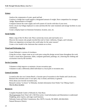### **Science**

- · Analyze the components of water, good and bad.
- · Construct a bridge that would support a designated amount of weight. Have competition for strongest bridge. Representative of freight?

**\_\_\_\_\_\_\_\_\_\_\_\_\_\_\_\_\_\_\_\_\_\_\_\_\_\_\_\_\_\_\_\_\_\_\_\_\_\_\_\_\_\_\_\_\_\_\_\_\_\_\_\_\_\_\_\_\_\_\_\_\_\_\_\_\_\_\_\_\_\_\_\_\_\_\_\_\_\_\_\_\_\_\_\_\_\_\_\_\_\_\_\_\_\_\_\_\_\_\_\_\_\_\_\_\_\_\_\_**

- · Compare/contrast the water supply and well system of Lincoln with that of your town.
- · Invite a local city/village employee to come and describe the water treatment and storage facilities in your community.
- · Create a display/report on limestone-formation, location, uses, etc.

# **Social Studies**

- · Make a map of the Ox-Bow trail. Place current day towns and road marks on it.
- · Discover the reasons why people traveled this trail to Utah, California, Oregon, and Colorado.
- · Where are migrations occurring in the world today for the same reasons?
- · Create a river model in the classroom that contains an ox-bow.

# **Visual and Performing Arts**

- · Create Nebraska's version of riverdance.
- · Using the ox-bow, shape create an art work piece using this design several times throughout the work.
- · Create a visual show (panorama, slides, computer generated, paintings, etc.) showing the clothing and accessories worn by the travelers.

# **Service Learning**

- · Volunteer to help improve or maintain a locate recreation spot.
- · Volunteer to take a differently-abled individual to a local park or recreation area.

# **General Activities**

- · Located at this site was Linoma Beach, a favorite spot of recreation in the Omaha and Lincoln area. Research the activities-years it was open, why it closed, and history in general.
- · Write about your favorite recreation area.
- · Research various "ox-bows" in Nebraska. Include information from Walter Van Tilburg Clark's The Ox-Bow Incident.

# **Resources**

- · Complete Roadside Guide to Nebraska by Alan Boye.
- · The Expressmen from Time Life's Old West series. Good information and illustrations to understand freighting, pony express, and stage coach business.
- · Nebraska Game and Parks Commission, Box 30370, Lincoln, NE 68503, 402/464-0641.
- · Natural Resource District.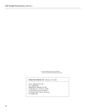Ox teams hauling wood to Fort Niobrara Courtesy of Nebraska State Historical Society

#### **Marker 60 to Marker 219** Distance: 53.2 miles

**\_\_\_\_\_\_\_\_\_\_\_\_\_\_\_\_\_\_\_\_\_\_\_\_\_\_\_\_\_\_\_\_\_\_\_\_\_\_\_\_\_\_\_\_\_\_\_\_\_\_\_\_\_\_\_\_\_\_\_\_\_\_\_\_\_\_\_\_\_\_\_\_\_\_\_\_\_\_\_\_\_\_\_\_\_\_\_\_\_\_\_\_\_\_\_\_\_\_\_\_\_\_\_\_\_\_\_\_**

 From: Nebraska City, NE To: Ashland, NE Beginning at Nebraska City, NE Go North on U.S. 75 for 11.7 miles Go West HWY 34 for 25.0 miles Go North on HWY 63 for 16.5 miles To Ashland, NE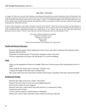#### **THE IONIA "VOLCANO"**

On August 24, 1804, the Lewis and Clark Expedition, traveling up the Missouri River, passed a bluff about 180 to 190 feet high. Clark wrote that it appeared to have been on fire and was still very hot. He also detected signs of coal and what looked like cobalt. Later, fur traders frequently noticed dense smoke and fire in this region. In 1839, J. N. Nicollet attempted to prove that these phenomena were not of volcanic origin. Nicollet theorized that the decomposition of beds of iron pyrites in contact with water resulted in a heat capable of igniting other combustible materials.

**\_\_\_\_\_\_\_\_\_\_\_\_\_\_\_\_\_\_\_\_\_\_\_\_\_\_\_\_\_\_\_\_\_\_\_\_\_\_\_\_\_\_\_\_\_\_\_\_\_\_\_\_\_\_\_\_\_\_\_\_\_\_\_\_\_\_\_\_\_\_\_\_\_\_\_\_\_\_\_\_\_\_\_\_\_\_\_\_\_\_\_\_\_\_\_\_\_\_\_\_\_\_\_\_\_\_\_\_**

Unaware of this explanation, early settlers continued to fear the "Ionia volcano," which took its name from the once flourishing town of Ionia, located northeast of present-day Newcastle. An earthquake in 1877 aroused new fears of an impending volcanic eruption. In 1878, the Missouri River undermined the bluffs and a large section of the "volcano" fell into the river. The same flood nearly destroyed the town of Ionia. "Volcano" stories died out soon after the Ionia post office was discontinued in 1907.

> Newcastle Community Betterment Committee Historical Land Mark Council Nebraska 12 in Newcastle Dixon County Marker 68 (Distance between Marker 219 and Marker 68 is 155.2 miles.)

### **Health and Physical Education**

- · Research and play games which originated in Ionia, Greece and which could have been played in Ionia along the Missouri River.
- · Determine the health hazards of iron pyrites coming in contact with water.
- · Find out composition of volcanic ash and decide if it is safe for handling.

### **Math**

- · What was the population of Ionia at its height? What was it when the post office discontinued service in 1907?
- · What would be the closest town to the Ionia "Volcano" site?
- · Compare the height of the bluff with a football field.
- · How many miles had Lewis and Clark traveled on their historic expedition when they noticed the bluff?

### **Reading and Writing**

- · Research the origin of the town's name, "Newcastle."
- · Research the past names of your town and neighboring towns.
- · Find out how names of towns originate.
- · Research and write a report about Newcastle and how it is connected to Ionia.
- · Explain the myth of Ionia.
- · Create a myth to explain a natural disaster of Nebraska.
- · Read Lewis' and/or Clark's journals or diary entries for this part of the trip.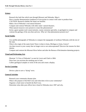### **Science**

- · Research the fault line which runs through Missouri and Nebraska. Map it.
- · Have a teacher demonstration (outdoors) of iron pyrites in contact with water to produce heat. CAUTION: Research whether the fumes are harmful.
- · Make a list of Nebraska's real natural disasters.
- · Compare and contrast Nebraska with other states' natural disasters.
- · What natural resources were present to create this phenomenon?
- · Invite a guest speaker (soil conservationist, county extension specialist, or geologist) to compare and contrast the geology of the area then and now. Why isn't that phenomenon present now?

**\_\_\_\_\_\_\_\_\_\_\_\_\_\_\_\_\_\_\_\_\_\_\_\_\_\_\_\_\_\_\_\_\_\_\_\_\_\_\_\_\_\_\_\_\_\_\_\_\_\_\_\_\_\_\_\_\_\_\_\_\_\_\_\_\_\_\_\_\_\_\_\_\_\_\_\_\_\_\_\_\_\_\_\_\_\_\_\_\_\_\_\_\_\_\_\_\_\_\_\_\_\_\_\_\_\_\_\_**

# **Social Studies**

- · Use satellite photographs of Nebraska to compare the topography of northeast Nebraska with the rest of the state.
- · What is the origin of the name Ionia? Does it relate to Ionia, Michigan or Ionia, Greece?
- · Are there towns in your county that no longer exist or are unincorporated? Discover the reasons for their demise.
- · Compare and contrast the Missouri River before and after the Bureau of Reclamation damming projects.

# **Visual and Performing Arts**

- · Illustrate "A View of Nebraska" as seen by Lewis and Clark in 1804.
- · Draw how you envision the smoking area to look.
- · Collect geological samples or rocks of the area and create a display.

# **Service Learning**

· Devise a plan to save a "dying" town.

# **General Activities**

- · Research your community disaster plan.
- · What is the purpose of the Red Cross and what does it do in your community?
- · Organize a fund raiser to benefit the Red Cross.
- · Determine what other post offices have closed in Nebraska since 1907 and why.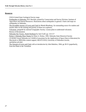### **Resources**

- · USGS-United State Geological Survey maps
- · Earthquakes in Nebraska, R.R. Burchett, printed by Conservation and Survey Division, Institute of Agriculture and Natural Resources. Illustrations about earthquakes in general. Charts and maps on earthquakes in Nebraska.

**\_\_\_\_\_\_\_\_\_\_\_\_\_\_\_\_\_\_\_\_\_\_\_\_\_\_\_\_\_\_\_\_\_\_\_\_\_\_\_\_\_\_\_\_\_\_\_\_\_\_\_\_\_\_\_\_\_\_\_\_\_\_\_\_\_\_\_\_\_\_\_\_\_\_\_\_\_\_\_\_\_\_\_\_\_\_\_\_\_\_\_\_\_\_\_\_\_\_\_\_\_\_\_\_\_\_\_\_**

- · The Incredible Journey of Lewis and Clark by Rhoda Blumburg. An outstanding source for student and teacher alike on the training and journey of these two explorers.
- · Volcanoes, geoguide by national Geographic Society. Lesson plans to understand volcanoes.
- · Bureau of Reclamation
- · Nebraska Our Towns...North Northeast by Jane Graff, pp. 114-117
- · Perkey's Nebraska Place Names by Elton A. Perkey, 1995, Nebraska State Historical Society
- · CD ROM Virtual Nebraska on CASDE (Consortium for the Application of Space Data to Education) for Macintosh or IBM (Edu content support, 402/472-0310, University of Nebraska-Lincoln, rperk@tan.unl.edu)
- · The Journals of Lewis and Clark with an introduction by John Bakeless, 1964, pp 38-51 (paperback), from the Platte to the Vermilion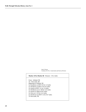Ionia Volcano Courtesy of U.N.L. Conservation and Survey Division

# **Marker 219 to Marker 68** Distance: 155.2 miles

**\_\_\_\_\_\_\_\_\_\_\_\_\_\_\_\_\_\_\_\_\_\_\_\_\_\_\_\_\_\_\_\_\_\_\_\_\_\_\_\_\_\_\_\_\_\_\_\_\_\_\_\_\_\_\_\_\_\_\_\_\_\_\_\_\_\_\_\_\_\_\_\_\_\_\_\_\_\_\_\_\_\_\_\_\_\_\_\_\_\_\_\_\_\_\_\_\_\_\_\_\_\_\_\_\_\_\_\_**

 From: Ashland, NE To: Newcastle, NE Beginning at Ashland, NE Go Southeast on HWY 63 for 1.0 miles Go Northeast on HWY 6 for 8.2 miles Go South on HWY 31 for 1.0 miles Go Northeast on U.S. 80 for 12.6 miles Go North on I 680 for 99.5 miles Go West on I 129 for 14.2 miles Go Northwest on HWY 12 for 18.7 miles To Newcastle, NE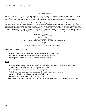#### **SANDHILL CRANES**

The Big Bend of the Platte River in central Nebraska is one of the most important staging areas for the spring migration of the world's largest population of sandhill cranes. Throughout history, the Platte has also been a corridor of migration for native peoples and Euroamericans. For both cranes and humans, the river has provided water, food, and shelter in a sometimes harsh environment.

**\_\_\_\_\_\_\_\_\_\_\_\_\_\_\_\_\_\_\_\_\_\_\_\_\_\_\_\_\_\_\_\_\_\_\_\_\_\_\_\_\_\_\_\_\_\_\_\_\_\_\_\_\_\_\_\_\_\_\_\_\_\_\_\_\_\_\_\_\_\_\_\_\_\_\_\_\_\_\_\_\_\_\_\_\_\_\_\_\_\_\_\_\_\_\_\_\_\_\_\_\_\_\_\_\_\_\_\_**

No one knows when sandhill cranes appeared on the Nebraska landscape. Their remains have been found in nine-million-year-old deposits in western Nebraska and in prehistoric and historic Native American sites throughout the central plains. The journals of explorers and fur traders such as Edwin James (1820), John Townsend (1834), Rufus Sage (1841), and John J. Audubon (1843) mention sandhill cranes they observed while traveling up the Missouri River or along the Platte. Settlement of the Great Plains brought many changes to the Platte. Irrigation reduced its volume, and its shorelines and islands became overgrown when prairie fires and floods were controlled. Only the Big Bend region still provides prime habitat to sustain the annual migration of sandhill cranes.

> Hall County Historical Society Nebraska State Historical Society Platte River Trust Nebraska Department of Roads U.S. 34/U.S. 281 and Platte River Road, between Grand Island and Doniphan Hall County Marker 389 (Distance between Marker 68 and Marker 389 is 192.6 miles.)

#### **Health and Physical Education**

- · Develop a crane dance or walk after viewing the movements of the crane.
- · Research and report on human diseases that are associated with fowl.
- · Investigate the nutritional values of grains eaten by the cranes.

### **Math**

- · Discover the following: numbers of sandhill cranes that traveled through Nebraska for the 1970's, 1980's, 1990's, and project for 2000. Graph for those years.
- · Discover the amount of grain consumed per crane per day.
- · Calculate the amount of grain that is eaten per day while cranes are in Nebraska .
- · Make a model of the actual wing span of a sandhills crane.
- · Calculate the distance of the cranes migratory route.
- · Find the ratio in miles of the portion of the Platte River that the cranes use each spring. Show on map.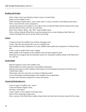# **Reading and Writing**

- · Write a letter to the Crane Meadows Nature Center in Grand Island.
- · Report on the Sandhill Cranes.
- · While listening to habitat music, write a poem, letter, or essay to promote crane habitat preservation.

**\_\_\_\_\_\_\_\_\_\_\_\_\_\_\_\_\_\_\_\_\_\_\_\_\_\_\_\_\_\_\_\_\_\_\_\_\_\_\_\_\_\_\_\_\_\_\_\_\_\_\_\_\_\_\_\_\_\_\_\_\_\_\_\_\_\_\_\_\_\_\_\_\_\_\_\_\_\_\_\_\_\_\_\_\_\_\_\_\_\_\_\_\_\_\_\_\_\_\_\_\_\_\_\_\_\_\_\_**

- · Write a story from the crane's perspective.
- · Assume the persona of an explorer or fur trader as they traveled the Platte and first observed the cranes. Describe them for those who have not seen them.
- · Read "Eeny, Meeny, Miney, and...Moe" about sandhill cranes.
- · Write a farmer along the Platte River to get their perspective on cranes feeding in their fields and tourists traveling in the area to see the cranes each spring.

### **Science**

- · Compare/contrast the sandhill crane with the whooping crane.
- · Create a flip chart showing the life cycle of a sandhill crane.
- · Have students develop a hypothesis as to why sandhill cranes spend more spring time in Nebraska than fall.
- · Create a real (or model of the) crane's habitat.
- · Make models of the footprints of the sandhill cranes and other migratory birds.
- · Determine the ecological and environmental reasons for clearing the sandbar islands in the Platte River for crane use.

# **Social Studies**

- · Map the migratory route of the sandhill crane.
- · Debate habitat use-urban expansion versus habitat maintenance.
- · Research and report on John Audubon. What impact on environmental awareness has he had on the United States today?
- · What impact does the crane have on tourism in Nebraska today?
- · List the advantages and disadvantages of the sandhill crane on agriculture.
- · Compare and contrast the migration of cranes and humans.

### **Visual and Performing Arts**

- · Listen to tapes of sandhill crane "music."
- · Create and display origami cranes.
- · Develop a crane dance.
- · Create a paper or clay sculpture involving cranes.
- · Paint or draw landscapes using cranes.
- · Draw a picture of the Platte River sandbar islands before and after they have been cleared for the cranes.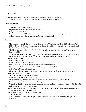# **Service Learning**

- · Help create visuals in the observatory areas for proper crane viewing etiquette.
- · Volunteer at your local chamber of commerce to promote crane awareness.

# **General Activities**

- · Take a field trip to Crane Meadows.
- · Improve or develop an indigenous bird habitat.
- · Design a new crane T-shirt.
- · Write the Grand Island Chamber of Commerce for areas the public is encouraged to view the cranes.

**\_\_\_\_\_\_\_\_\_\_\_\_\_\_\_\_\_\_\_\_\_\_\_\_\_\_\_\_\_\_\_\_\_\_\_\_\_\_\_\_\_\_\_\_\_\_\_\_\_\_\_\_\_\_\_\_\_\_\_\_\_\_\_\_\_\_\_\_\_\_\_\_\_\_\_\_\_\_\_\_\_\_\_\_\_\_\_\_\_\_\_\_\_\_\_\_\_\_\_\_\_\_\_\_\_\_\_\_**

· Collect newspaper articles on cranes from February through April.

# **Resources**

- · The Cry of the Sandhill Crane, by Steven Groonis, North Word Press, Inc., Box 1360, Minocqua, WI, ISBN 1-55971-142-6. Filled with great colored photos. Everything you wanted to know about this bird but didn't know what to ask.
- · The Platte River: An Atlas of the Big Bend Region, Allen Jenkins, Ed., University of Nebraska at Kearney , 1993
- · "Eeny, Meeny, Miney, and...Moe" from Cranes in My Corral by Dayton O. Hyde. The story is available in the book or in Heath Publishing fifth grade reading series called Rare as Hen's Teeth.
- · Crane Meadows Nature Center
- · Crane Meadows Trust
- · Grand Island Chamber of Commerce
- · Fort Kearny State Historical Park Nature Center/Gift Shop/Museum
- · Stewards of the Platte (newsletter), Box 2201, Grand Island, NE 68802
- · *Nebraskaland Magazine* (spring issue)
- · Platte River Whooping Crane Trust, 2550 Diers Avenue, Grand Island, NE 68803, 308/384-4633
- · *Audubon* magazine, May, 1989
- · Those of the Grey Wind by Paul Johngard
- · Sandy by Dayton O. Hyde (cranes as pets)
- · "Migration Music," North Wind Press, audiotape of bird sounds including cranes, 800/336-5666
- · Crane Train (out of Kearney) Annual Gathering
- · Wings Over the Platte (three day annual gathering of tours, seminars, wildlife art, banquet), 800/658-3178
- · Lillian Annette Rowe Sanctuary, 308/468-5282
- · Nebraska Game and Parks Commission, P. O. Box 30370, Lincoln NE 68503, 402/464-0641 (brochure: "Sandhill Cranes: Wings Over the Platte"
- · Kearney Chamber of Commerce, 308/237-3101
- · Audubon Society
- · VHS videotape, "A Place for Whooping Cranes," produced by Dave Erickson (order through ICF Bookstore)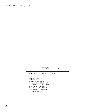Sandhill Cranes Courtesy of Nebraska Department of Economic Development

#### **Marker 68 to Marker 389** Distance: 192.6 miles

**\_\_\_\_\_\_\_\_\_\_\_\_\_\_\_\_\_\_\_\_\_\_\_\_\_\_\_\_\_\_\_\_\_\_\_\_\_\_\_\_\_\_\_\_\_\_\_\_\_\_\_\_\_\_\_\_\_\_\_\_\_\_\_\_\_\_\_\_\_\_\_\_\_\_\_\_\_\_\_\_\_\_\_\_\_\_\_\_\_\_\_\_\_\_\_\_\_\_\_\_\_\_\_\_\_\_\_\_**

 From: Newcastle, NE To: Doniphan, NE Beginning at Newcastle, NE Go West on HWY 12 for 12.3 miles Go South on HWY 57 for 16.1 miles Go West on U.S. 20 for 20.5 miles Go Southwest on HWY 81 for 134.4 miles Go South on HWY 281 for 9.3 miles To Doniphan, NE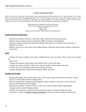#### **CATHER CHILDHOOD HOME**

**\_\_\_\_\_\_\_\_\_\_\_\_\_\_\_\_\_\_\_\_\_\_\_\_\_\_\_\_\_\_\_\_\_\_\_\_\_\_\_\_\_\_\_\_\_\_\_\_\_\_\_\_\_\_\_\_\_\_\_\_\_\_\_\_\_\_\_\_\_\_\_\_\_\_\_\_\_\_\_\_\_\_\_\_\_\_\_\_\_\_\_\_\_\_\_\_\_\_\_\_\_\_\_\_\_\_\_\_**

Built circa, 1876, this is the house in which Willa Cather lived from 1884 to 1890. She describes it in "Old Mrs. Harris," in "The Best Years," and in this quotation from Song of the Lark: "They turned into another street and saw before them lighted windows; a low story-and-a-half house, with wing built on at the right and a kitchen addition at the back, everything a little on the slant-roofs, windows, and doors." Restored and donated by the Willa Cather Pioneer Memorial and Educational Foundation.

> Administered by the Nebraska State Historical Society Willa Cather Historical Center property, Red Cloud Webster County Marker 264 (Distance between Marker 389 and Marker 264 is 53.5 miles.)

## **Health and Physical Education**

- · Research recreational activities in which the Cather children and family participated.
- · Identify common hygiene practices during late 1880's (sanitation and plumbing).
- · Research comments made about Nebraska football when Cather was a student at the University of Nebraska in Lincoln.
- · Identify a fire exit on a floor plan of the childhood home. Determine where family members would meet on the lawn.

# **Math**

· Estimate the square footage of the Cather childhood home with your home. What is the ratio of people per

square foot?

- · Compare the monetary award value of the Pulitzer Prize in 1923 with today.
- · Compare the number of books Cather wrote with the number of short stories and essays.
- · Calculate the size of the Willa Cather Pioneer Memorial Prairie.
- · Compare the population of Red Cloud during the 1880's and today.

# **Reading and Writing**

- · Research the Pulitzer Prize which Cather won in 1923. Find a copy of the book for which she won the award. List other Pulitzer Prize winning authors.
- · Research and describe, through several paragraphs, Willa's bedroom in the attic as well as the attic playroom and bedroom for her siblings.
- · Read aloud to students "Old Mrs. Harris," a short story which describes Willa's grandmother.
- · Compare Cather to other Nebraska authors.
- · Describe your classroom or bedroom in the same literary style as Cather describes her room.
- · Cather has 12 entries in Bartlett's Familiar Quotations. Find some of them and share with the class.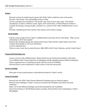## **Science**

- · Research or draw the original prairie grasses that Willa Cather would have seen on the prairie.
- · Describe "The Divide" area and Republican River Valley.
- · List the watershed areas included in "The Divide" area. Find out how many miles "The Divide" encompasses. (Contact a Webster County Agent, Soil Conservation, or Natural Resource District.)

**\_\_\_\_\_\_\_\_\_\_\_\_\_\_\_\_\_\_\_\_\_\_\_\_\_\_\_\_\_\_\_\_\_\_\_\_\_\_\_\_\_\_\_\_\_\_\_\_\_\_\_\_\_\_\_\_\_\_\_\_\_\_\_\_\_\_\_\_\_\_\_\_\_\_\_\_\_\_\_\_\_\_\_\_\_\_\_\_\_\_\_\_\_\_\_\_\_\_\_\_\_\_\_\_\_\_\_\_**

- · Compare the heating, cooking, laundry, sanitation, etc. systems of the Cather childhood home to your own.
- · Describe controlled prairie fires and how they enhance and revitalize ecology.

# **Social Studies**

- · Find how many people lived in Cather's childhood home and where she fit in the family. What was her relationship to all of these people?
- · Research the immigrant groups that settled in Red Cloud. Where did the Cather family come from? Compare these groups to your town and family.
- · List the Catherland sites.
- · What are some events that occurred between 1884-1890 in Red Cloud, Nebraska, and the United States?

# **Visual and Performing Arts**

- · Locate a picture of the childhood home. Sketch and discuss the architectural elements of the home.
- · View Hallmark Hall of Fame depictions of O'Pioneers and My Antonia (portions filmed in Nebraska).
- · Take an organized tour of Catherland (country and town tours are available).
- · Find and listen to music mentioned in Cather works or from this time period.

# **Service Learning**

· Plant plots of native prairie grasses as described and named in Cather's novels.

# **General Activities**

- · Research how the Willa Cather Pioneer Memorial Foundation gets its financial support.
- · Research what buildings in Cather's novels are owned by the Foundation and which ones need restoration.
- · Make a list of the different buildings owned and maintained by the Foundation.
- · Write Kent Pavelka (c/o KFAB Radio Station in Omaha, NE) and find out his relationship to Cather's My Antonia.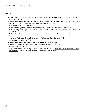### **Resources**

· "Willa Cather Pioneer Memorial Newsletter and Review," 326 North Webster Street, Red Cloud, NE 68970, 402-746-2653

**\_\_\_\_\_\_\_\_\_\_\_\_\_\_\_\_\_\_\_\_\_\_\_\_\_\_\_\_\_\_\_\_\_\_\_\_\_\_\_\_\_\_\_\_\_\_\_\_\_\_\_\_\_\_\_\_\_\_\_\_\_\_\_\_\_\_\_\_\_\_\_\_\_\_\_\_\_\_\_\_\_\_\_\_\_\_\_\_\_\_\_\_\_\_\_\_\_\_\_\_\_\_\_\_\_\_\_\_**

- · Willa Cather Pioneer Memorial and Educational Foundation, 326 North Webster, Red Cloud, NE 56970, Pat Phillips, Director, Web Site: www.willacather.org, fax 402-746-2652
- · Nebraska State Historical Society
- · Cobblestone Magazine (children's history magazine), December 1980, special Cather issue
- · Note Cards by Linda Stych: Five Different Scenes from the Childhood Home, contact Pioneer Memorial in Red Cloud
- · Willa Cather, A Pictorial Memoir, photographs by Lucia Woods and others, text by Bernice Slote, University of Nebraska Press, Lincoln
- · "Nebraska Trailblazer-Notable Nebraskans," #17, Nebraska State Historical Society
- · Stuhr Museum, Grand Island, NE
- · Willa Cather Pioneer Memorial Prairie, south of Red Cloud, Nebraska
- · "Nebraska Trailblazer-Early Settlers," #17, Nebraska State Historical Society
- · Bartlett's Familiar Quotations
- · "My Grandmother, Antonia," by Antonette Turner (pp 116-119) of Nebraska Voices Telling the Stories of Our State, a publication of the Nebraska Humanities Council, 1993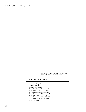Girlhood home of Willa Cather in Red Cloud, Nebraska Courtesy of Nebraska State Historical Society

#### **Marker 389 to Marker 264** Distance: 53.5 miles

**\_\_\_\_\_\_\_\_\_\_\_\_\_\_\_\_\_\_\_\_\_\_\_\_\_\_\_\_\_\_\_\_\_\_\_\_\_\_\_\_\_\_\_\_\_\_\_\_\_\_\_\_\_\_\_\_\_\_\_\_\_\_\_\_\_\_\_\_\_\_\_\_\_\_\_\_\_\_\_\_\_\_\_\_\_\_\_\_\_\_\_\_\_\_\_\_\_\_\_\_\_\_\_\_\_\_\_\_**

 From: Doniphan, NE To: Red Cloud, NE Beginning at Doniphan, NE Go South on 34 and 281 for 5.0 miles Go South on U.S. 34 for 9.7 miles Go South on U.S. 281 for 18.8 miles Go South on St. Link 91D for 1.0 miles Go South U.S. 281 for 0.9 miles Go Southwest on St. Link 91D for 0.2 miles Go South on U.S. 281 for 17.9 miles To Red Cloud, NE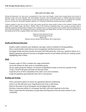#### **THE LOUP CITY RIOT, 1934**

During the Depression, low farm prices, accompanied by dust storms and drought, created unrest among farmers and workers in Sherman County and across Nebraska. The Farm Holiday movement, which encouraged farmers to withhold agricultural products from the market, was active. Representatives of left-wing political groups arrived to promote their own programs for economic recovery. In Loup City, the People's Standard, edited by A. E. Brunsdon, endorsed local farmer and worker complaints.

**\_\_\_\_\_\_\_\_\_\_\_\_\_\_\_\_\_\_\_\_\_\_\_\_\_\_\_\_\_\_\_\_\_\_\_\_\_\_\_\_\_\_\_\_\_\_\_\_\_\_\_\_\_\_\_\_\_\_\_\_\_\_\_\_\_\_\_\_\_\_\_\_\_\_\_\_\_\_\_\_\_\_\_\_\_\_\_\_\_\_\_\_\_\_\_\_\_\_\_\_\_\_\_\_\_\_\_\_**

Violence erupted in Loup City on June 14, 1934, after rumors spread that women poultry workers at the Fairmont Creamery plant might strike for higher wages. Ella Reeve "Mother" Bloor of the American Communist Party, and a group of associates then in Nebraska, organized a demonstration of support on the courthouse lawn. A march from there to the creamery and back culminated in a clash with local residents. The resulting jail sentences and fines levied upon Mother Bloor and others in her group marked the end of the attempt by the far left to organize farmers and workers in Nebraska.

> Sherman County Historical Society Nebraska State Historical Society Marker 393 (Distance between Marker 264 and Marker 393 is 116.9 miles.)

### **Health and Physical Education**

- · Explore conflict resolution, peer mediation, and anger control as methods of solving problems.
- · Have a mental health worker discuss stress management and blood pressure issues.
- · Investigate health and safety hazards associated with field and factory work (e.g., repetitive motion, etc.).
- · Identify appropriate physical exercises to strengthen muscles for job related activities by creating a poster highlighting some of these.

# **Math**

- · Compare wages of 1934, to modern day wages and benefits.
- · Access the internet for daily stock or commodities quotes.
- · Set-up a game giving the students a set amount of hypothetical money to invest for a period of time. Create a visual of the gains and losses for that time frame.
- · Graph the prices of farm commodities from 1934, in ten year increments.
- · Graph the population growth/decline from 1873, to the present.

### **Reading and Writing**

- · Write a persuasive speech on reasons for appropriate physical conditioning.
- · Listen to an old radio show (e.g. Gang Busters) and create a radio drama.
- · Discover the names of local newspapers and investigate their origins.
- · Develop a classroom edition of a newspaper that deals with issues important to the class.
- · Write a report from the information you gain about the Depression from the senior citizens in your community.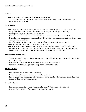## **Science**

- · Investigate what conditions contributed to the great dust bowl.
- ·Create an experiment showing how drought affects plant growth (explore using various soils, light, temperatures, and moisture).

**\_\_\_\_\_\_\_\_\_\_\_\_\_\_\_\_\_\_\_\_\_\_\_\_\_\_\_\_\_\_\_\_\_\_\_\_\_\_\_\_\_\_\_\_\_\_\_\_\_\_\_\_\_\_\_\_\_\_\_\_\_\_\_\_\_\_\_\_\_\_\_\_\_\_\_\_\_\_\_\_\_\_\_\_\_\_\_\_\_\_\_\_\_\_\_\_\_\_\_\_\_\_\_\_\_\_\_\_**

# **Social Studies**

- · Loup City was populated by Polish immigrants. Investigate the ethnicity of your family or community.
- · Study derivations of family name, first names, city names, etc. (including the name Loup).
- · Investigate the origin and definition of communism.
- · Discuss why communism would be attractive to farmers and workers in Nebraska in 1934.
- · Determine what countries were communistic in 1934, and those that are communistic today. Create a map demonstrating the findings.
- · Speculate as a group why communism has failed or has been replaced in several countries.
- · Compare and contrast communism with cooperatives today.
- · Investigate the origin of the terms "right wing" and "left wing" as reference to political philosophy.
- · Research the effects the dust storms and drought had on local farming conditions and production and income in your community. (Interview senior citizens in their homes or care homes.)

# **Visual and Performing Arts**

- · Access your local library for references or sources on depression photography. Create a visual exhibit of this photography.
- · Have someone demonstrate the polka, learn basic steps, and listen to music.
- · Create wolf masks out of paper mache (loup is a French word for wolf).

# **Service Learning**

- · Start a peer mediation group for the community.
- · Write a letter to the editor expressing concern about a local issue.
- · Student groups form partnerships with community businesses and provide moral boosters to them in the form of cookies, balloons, and attention.

# **General Activities**

- · Explore newspapers of the period. Was there other unrest? What was the price of foods?
- · Access a 1934, June issue of a newspaper and report the findings.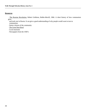### **Resources**

· The Russian Revolution, Robert Goldston, Bobbs-Merrill, 1966. A short history of how communism grew

**\_\_\_\_\_\_\_\_\_\_\_\_\_\_\_\_\_\_\_\_\_\_\_\_\_\_\_\_\_\_\_\_\_\_\_\_\_\_\_\_\_\_\_\_\_\_\_\_\_\_\_\_\_\_\_\_\_\_\_\_\_\_\_\_\_\_\_\_\_\_\_\_\_\_\_\_\_\_\_\_\_\_\_\_\_\_\_\_\_\_\_\_\_\_\_\_\_\_\_\_\_\_\_\_\_\_\_\_**

 and took root in Russia. It can give a good understanding of why people would want to turn to communism.

- · Senior citizens of the community
- · The Great Dust Bowl
- · Local museums
- · Newspapers from the 1930's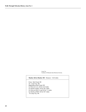Loup City Courtesy of Nebraska State Historical Society

#### **Marker 264 to Marker 393** Distance: 116.9 miles

**\_\_\_\_\_\_\_\_\_\_\_\_\_\_\_\_\_\_\_\_\_\_\_\_\_\_\_\_\_\_\_\_\_\_\_\_\_\_\_\_\_\_\_\_\_\_\_\_\_\_\_\_\_\_\_\_\_\_\_\_\_\_\_\_\_\_\_\_\_\_\_\_\_\_\_\_\_\_\_\_\_\_\_\_\_\_\_\_\_\_\_\_\_\_\_\_\_\_\_\_\_\_\_\_\_\_\_\_**

 From: Red Cloud, NE To: Loup City, NE Beginning at Red Cloud, NE Go West on U.S. 136 for 22.0 miles Go North on HWY 10 for 28.1 miles Go West on HWY 6 and 34 for 7.1 miles Go North on HWY 44 for 59.7 miles To Loup City, NE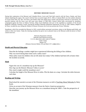#### **HISTORIC MISSOURI VALLEY**

**\_\_\_\_\_\_\_\_\_\_\_\_\_\_\_\_\_\_\_\_\_\_\_\_\_\_\_\_\_\_\_\_\_\_\_\_\_\_\_\_\_\_\_\_\_\_\_\_\_\_\_\_\_\_\_\_\_\_\_\_\_\_\_\_\_\_\_\_\_\_\_\_\_\_\_\_\_\_\_\_\_\_\_\_\_\_\_\_\_\_\_\_\_\_\_\_\_\_\_\_\_\_\_\_\_\_\_\_**

During their exploration of the Missouri and Columbia Rivers, Lewis and Clark held councils with the Ponca, Omaha, and Sioux Indians inhabiting this region. The council with the Sioux occurred August 28-31, 1804, at Calumet Bluff, now the southern abutment of Gavins Point Dam. By 1857, the Ponca and Omaha tribes had signed peace treaties and had been removed to reservations, but peaceful relations with the Sioux were still some years distant. In 1862-1863, General Alfred Sully, provisioned by steamboat, campaigned against the Sioux in Dakota Territory. Many local inhabitants took part in the expedition as members of the Second Regiment, Nebraska Volunteer Cavalry, leaving the Northern Nebraska settlements unprotected. On July 23, 1863, Indians, alleged to be Sioux, invaded the area, killing the children of Henson Wiseman who lived near present-day Wynot, Nebraska.

Steamboats, which first ascended the Missouri in 1819, carried military personnel, provisions, miners to the Montana gold fields, and settlers to their new homes. Today the churning steamboat has given way to pleasure boats as the Missouri yields her power to floodcontrol reservoirs.

> Nebraska Department of Roads Nebraska State Historical Society U.S. 81, about three miles south of Yankton Cedar County Marker 167 (Distance between Marker 393 and Mark 167 is 198.8 miles.)

### **Health and Physical Education**

- · Describe the feelings a mother might have experienced following the killing of her children.
- · Why was travel during these times such a safety issue?
- · What safety issues do children who are left alone face today? (The children had been left at home when the incident occurred).

### **Math**

- · Figure the cost of a steamboat trip up the Missouri?
- · How big was the Historic Missouri Valley in acres?
- · How much weight could the steamboat carry?
- · Calculate the length of the Missouri River in miles. Plot the dams on a map. Calculate the miles between each dam.

### **Reading and Writing**

- · Read aloud the narrative account of the Wiseman massacre as told in Teaching About Nebraska by Betty Karle.
- · Write an account of the Wiseman massacre from the Native American perspective.
- · Describe your journey up the Missouri River on a steamboat during the 1860's. Take the perspective of the steamboat.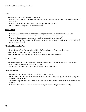## **Science**

- · Debate the benefits of flood-control reservoirs.
- · Describe the differences in the Missouri River before and after the flood control projects of the Bureau of Reclamation.

**\_\_\_\_\_\_\_\_\_\_\_\_\_\_\_\_\_\_\_\_\_\_\_\_\_\_\_\_\_\_\_\_\_\_\_\_\_\_\_\_\_\_\_\_\_\_\_\_\_\_\_\_\_\_\_\_\_\_\_\_\_\_\_\_\_\_\_\_\_\_\_\_\_\_\_\_\_\_\_\_\_\_\_\_\_\_\_\_\_\_\_\_\_\_\_\_\_\_\_\_\_\_\_\_\_\_\_\_**

- · How has the channel of the Missouri River changed from then to now?
- · Make a list of the dangers in Missouri River travel.

# **Social Studies**

- · Compare and contrast transportation of goods and people on the Missouri River then and now.
- · Compare and contrast the Ponca, Omaha, and Sioux Indians inhabiting this region.
- · What took the place of the steamboat as a mode of transportation on the river?
- · Why was the steamboat not more widely used? What were the pros and cons of steamboat use and travel on the Missouri River?

# **Visual and Performing Arts**

- · Draw pictures of travel on the Missouri River before and after the flood control projects.
- · Find pictures of military dress in 1804 and now.
- · Find photographs or artists' depictions of steamboats and the Missouri River.

# **Service Learning**

- · Have students pick a topic mentioned in the marker description. Develop a multi-media presentation which could be presented to various civic groups.
- · Write thank you notes to various volunteer groups in your community.

# **General Activities**

- · Research current day use of the Missouri River for transportation.
- · Make a list of volunteer groups in your area who deal with weather watching, civil defense, fire fighters, and EMT personnel, etc.
- · Take a field trip to DeSoto Bend Wildlife (in Iowa east of Blair, NE) to see the contents of the Steamboat Bertrand.
- · Determine the difference between the steamboat of yesterday and the pleasure boat of today.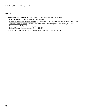### **Resources**

- · Robert Manley filmstrip mentions the story of the Wiseman family being killed
- · U.S. Department of Interior, Bureau of Reclamation
- · Nebraska Our Towns...North Northeast, by Jane Graff, pg. 87 Taylor Publishing, Dallas, Texas, 1988

**\_\_\_\_\_\_\_\_\_\_\_\_\_\_\_\_\_\_\_\_\_\_\_\_\_\_\_\_\_\_\_\_\_\_\_\_\_\_\_\_\_\_\_\_\_\_\_\_\_\_\_\_\_\_\_\_\_\_\_\_\_\_\_\_\_\_\_\_\_\_\_\_\_\_\_\_\_\_\_\_\_\_\_\_\_\_\_\_\_\_\_\_\_\_\_\_\_\_\_\_\_\_\_\_\_\_\_\_**

- · Teaching About Nebraska, Notebook by Betty Karle, 14912 Lafayette Plaza, Omaha, NE 68154
- · Yankton, South Dakota Chamber of Commerce
- · Belle of Brownville pleasure boat, Brownville, NE
- · "Nebraska Trailblazer-Native Americans," Nebraska State Historical Society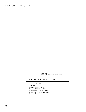Steamboats Courtesy of Nebraska State Historical Society

#### **Marker 393 to Marker 167** Distance: 198.8 miles

**\_\_\_\_\_\_\_\_\_\_\_\_\_\_\_\_\_\_\_\_\_\_\_\_\_\_\_\_\_\_\_\_\_\_\_\_\_\_\_\_\_\_\_\_\_\_\_\_\_\_\_\_\_\_\_\_\_\_\_\_\_\_\_\_\_\_\_\_\_\_\_\_\_\_\_\_\_\_\_\_\_\_\_\_\_\_\_\_\_\_\_\_\_\_\_\_\_\_\_\_\_\_\_\_\_\_\_\_**

 From: Loup City, NE To: Wynot, NE Beginning at Loup City, NE Go East on HWY 58 for 60.0 miles Go North on HWY 30 for 126.6 miles Go East on HWY 12 for 12.2 miles To Wynot, NE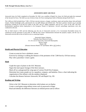#### **AINSWORTH ARMY AIR FIELD**

Ainsworth Army Air Field, completed on November 30, 1942, was a satellite of Rapid City Army Air Field and under the command of the Second Air Force. The field was one of eleven Army Air Force training bases built in Nebraska during World War II.

**\_\_\_\_\_\_\_\_\_\_\_\_\_\_\_\_\_\_\_\_\_\_\_\_\_\_\_\_\_\_\_\_\_\_\_\_\_\_\_\_\_\_\_\_\_\_\_\_\_\_\_\_\_\_\_\_\_\_\_\_\_\_\_\_\_\_\_\_\_\_\_\_\_\_\_\_\_\_\_\_\_\_\_\_\_\_\_\_\_\_\_\_\_\_\_\_\_\_\_\_\_\_\_\_\_\_\_\_**

The 2,496-acre field included three 7,300 x 150 foot concrete runways, a hanger, warehouse, repair and machine shops, link and bomb trainers, Nordan bombsight vaults, and barracks for over 600 officers and enlisted men. The base's primary mission was to provide proficiency training for P-39 and P-47 pilots of the 364<sup>th</sup> and 53<sup>rd</sup> fighter squadrons, and for B-17 crews of the 540<sup>th</sup> and 543<sup>rd</sup> bombardment squadrons before deployment to the European Theater of Operations. Aircraft camouflage experiments were also conducted on the site.

The air field closed in 1945 and the following year the city of Ainsworth received a U.S. Government Revokable license for commercial aircraft operations on the field. In 1948 the War Assets Administration declared the property surplus, and the city of Ainsworth received title to the air field for use as a municipal airport.

> Ainsworth Airport Authority Nebraska State Historical Society U.S. 20, west of Ainsworth, Ainsworth Municipality Brown County Marker 380 (Distance between Marker 167 and Marker 380 is 167.9 miles.)

### **Health and Physical Education**

- · Create an army/air force calisthenic course.
- · Exercise by running or walking the distance of the perimeter of the 7,300 foot by 150 foot runway.
- · Play with a parachute. Create a game.

### **Math**

- · Graph the types of planes in the SAC Museum.
- · Figure the total square footage of the three runways.
- · Mark-off on a playground the wing span of various World War II planes.
- · Determine how many people are in a squadron, company, and battalion. Draw a chart indicating the organization of the military with the numbers displayed.
- · Calculate the distance between Ainsworth, NE and Rapid City, SD.

### **Reading and Writing**

- · Write to the SAC Museum to determine which planes are on display.
- · Create a word game using military terms such as password or bingo.
- · Read and identify the difference between an enlisted person and an officer.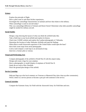## **Science**

- · Explore the principle of flight.
- · Have a pilot come in and share his/her experiences.
- · Investigate the camouflage characteristics of animals and how that relates to the military.
- · What camouflage is used on aircraft today?
- · Why was camouflage different in Vietnam and Desert Storm? Determine what other possible camouflage might be needed for military aircraft.

**\_\_\_\_\_\_\_\_\_\_\_\_\_\_\_\_\_\_\_\_\_\_\_\_\_\_\_\_\_\_\_\_\_\_\_\_\_\_\_\_\_\_\_\_\_\_\_\_\_\_\_\_\_\_\_\_\_\_\_\_\_\_\_\_\_\_\_\_\_\_\_\_\_\_\_\_\_\_\_\_\_\_\_\_\_\_\_\_\_\_\_\_\_\_\_\_\_\_\_\_\_\_\_\_\_\_\_\_**

# **Social Studies**

- · Design a map showing the layout of what you think the airfield looks like.
- · Take a field trip to your local airfield and explore its history.
- · Check into CASDE website and explore the Landsat photography of Nebraska.
- · Determine the location of other Nebraska Airfields and map the findings.
- · What effects would Ainsworth experience if the United States would open the base?
- · Have kids create maps from aerial photographs.
- · Look at and compare a road map to an aeronautical map.
- · Interview a former pilot or veteran.

# **Visual and Performing Arts**

- · Compare photographs of the airfield in World War II with the airport today.
- · Design and create a logo for your airplane.
- · Have a photographic or model display of airplanes of World War II.
- · Study the art work of Bev Doolittle.
- · Draw the ground plan design of the airfield.

# **Service Learning**

- · Help put flags up at the local cemetery on Veterans or Memorial Day (also clean up after ceremonies).
- · Write a letter to a service person or become a pen pal with someone in the service.

# **General Activities**

· Compare the Fairmont Army Air Field with the Ainsworth Army Air Field then and now.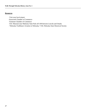### **Resources**

- · Visit your local airport.
- ·Ainsworth Chamber of Commerce
- · Fairmont Chamber of Commerce
- · SAC Museum near Mahoney State Park off I-80 between Lincoln and Omaha
- · "Nebraska Trailblazer-Aviation in Nebraska," #18, Nebraska State Historical Society

**\_\_\_\_\_\_\_\_\_\_\_\_\_\_\_\_\_\_\_\_\_\_\_\_\_\_\_\_\_\_\_\_\_\_\_\_\_\_\_\_\_\_\_\_\_\_\_\_\_\_\_\_\_\_\_\_\_\_\_\_\_\_\_\_\_\_\_\_\_\_\_\_\_\_\_\_\_\_\_\_\_\_\_\_\_\_\_\_\_\_\_\_\_\_\_\_\_\_\_\_\_\_\_\_\_\_\_\_**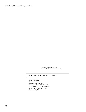Ainsworth Airfield Control Tower Courtesy of Nebraska State Historical Society

#### **Marker 167 to Marker 380** Distance: 167.9 miles

**\_\_\_\_\_\_\_\_\_\_\_\_\_\_\_\_\_\_\_\_\_\_\_\_\_\_\_\_\_\_\_\_\_\_\_\_\_\_\_\_\_\_\_\_\_\_\_\_\_\_\_\_\_\_\_\_\_\_\_\_\_\_\_\_\_\_\_\_\_\_\_\_\_\_\_\_\_\_\_\_\_\_\_\_\_\_\_\_\_\_\_\_\_\_\_\_\_\_\_\_\_\_\_\_\_\_\_\_**

 From: Wynot, NE To: Ainsworth, NE Beginning at Wynot, NE Go West on HWY 12 for 12.2 miles Go South on HWY 81 for 25.4 miles Go West on I 20 for 130.3 miles To Ainsworth, NE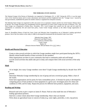#### **THE NEBRASKA STATE GRANGE**

The National Grange of the Patrons of Husbandry was organized in Washington, D.C. in 1867. During the 1870's, it was the major voice of the American farmer and its social, educational, and fraternal activities brightened farm life. "Granger Laws," enacted by state governments, established the pattern for modern America's regulated free enterprise economy.

**\_\_\_\_\_\_\_\_\_\_\_\_\_\_\_\_\_\_\_\_\_\_\_\_\_\_\_\_\_\_\_\_\_\_\_\_\_\_\_\_\_\_\_\_\_\_\_\_\_\_\_\_\_\_\_\_\_\_\_\_\_\_\_\_\_\_\_\_\_\_\_\_\_\_\_\_\_\_\_\_\_\_\_\_\_\_\_\_\_\_\_\_\_\_\_\_\_\_\_\_\_\_\_\_\_\_\_\_**

The Nebraska State Grange was organized in 1872, but errors in its co-operative ventures and the rise of the Farmers Alliance led to its decline. The Grange movement was reestablished with the organization of Custer Center Grange near here in February, 1911. The State Grange was reorganized in Broken Bow, November, 1911. Local Granges have spread over the state and are noted for contributions to community life and sound farm policy. Custer Center Grange continues as the oldest Grange organization in Nebraska.

James D. ReamÐfirst Master of both the Custer Center and Nebraska State GrangesÐwas one of Nebraska's leading agricultural pioneers. One of the first settlers in this valley in 1880, he developed his homestead into the beautiful Cedar Lawn Farm.

> Nebraska State Grange, 1967 Historical Land Mark Council U.S. 2, northwest of Broken Bow Custer County Marker 59 (Distance between Marker 380 and Marker 59 is 113.7 miles.)

### **Health and Physical Education**

- · Create or plan several activities in which the Grange members might have participated during the 1870's. Identify mental health benefits of these activities for the members.
- · What organizations are there in your community that lead to community pride and well being?
- · List the social activities that adults take part in today and compare them with social activities of the early  $1900's.$

### **Math**

· At its height, how many Grange members were there? Graph Grange membership by decade from 1870 to

present.

- · Determine Nebraska Grange membership by size of group and area covered per group. Make a chart of the results.
- · Some farm organizations ask for parity for farm commodities prices. A formula for parity is developed by comparing prices of farm products to farm equipment in a given year. Investigate prices for wheat and combines in 1950, and for today. Repeat the process for different farm products, equipment, and years.

#### **Reading and Writing**

- · Research and write or give a report on James D. Ream. Find out what made him one of Nebraska's leading agricultural pioneers.
- · Interview a senior citizen about their Grange membership. Share what you learned.
- · Write about an agricultural issue or concern of today (e.g. water rights, pesticides, e coli, crop prices).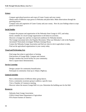## **Science**

- · Compare agricultural practices and crops of Custer County and your county.
- · Obtain seeds of different crops grown in Nebraska and plant them. Make observations through the growing process.

**\_\_\_\_\_\_\_\_\_\_\_\_\_\_\_\_\_\_\_\_\_\_\_\_\_\_\_\_\_\_\_\_\_\_\_\_\_\_\_\_\_\_\_\_\_\_\_\_\_\_\_\_\_\_\_\_\_\_\_\_\_\_\_\_\_\_\_\_\_\_\_\_\_\_\_\_\_\_\_\_\_\_\_\_\_\_\_\_\_\_\_\_\_\_\_\_\_\_\_\_\_\_\_\_\_\_\_\_**

· Compare soils and vegetation of Custer County and your county. How do your findings relate to crops grown in each area?

# **Social Studies**

- · Compare the purpose and organization of the Nebraska State Grange in 1872, and today.
- · Invite a member of a local Grange organization to tell about its activities.
- · Discover a Granger law and how it improved conditions for Nebraska farmers.
- · The Granger movement led to the Populist Movement. What was Nebraska's role in the Populist movement? Particularly investigate Williams Jennings Bryan.
- · Contact the Nebraska Grange Association and find out what its role in agriculture is today.
- · Find out the agricultural organizations in your county today.

# **Visual and Performing Arts**

- · Find songs that relate to agriculture or farming.
- · Find pictures of Grange Halls. Compare and contrast.
- · Design a modern day social facility for your community.
- · Have a square dance demonstration.

# **Service Learning**

- · Design a project for community beautification.
- · Participate in community clean-up or Adopt a Highway.

# **General Activities**

- · Have a demonstration of different ethnic group dances.
- · Form a community awareness group to address a specific issue.
- · Visit a Chamber of Commerce meeting.
- · Discover where the nearest Grange Hall is to you. Determine the building uses for the Hall.

### **Resources**

- · Nebraska State Grange Association
- · USDA-United States Department of Agriculture
- · FFA-Future Farmers of America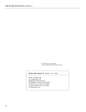Farm Machinery stacking alfalfa Courtesy of Nebraska State Historical Society

#### **Marker 380 to Marker 59** Distance: 113.7 miles

**\_\_\_\_\_\_\_\_\_\_\_\_\_\_\_\_\_\_\_\_\_\_\_\_\_\_\_\_\_\_\_\_\_\_\_\_\_\_\_\_\_\_\_\_\_\_\_\_\_\_\_\_\_\_\_\_\_\_\_\_\_\_\_\_\_\_\_\_\_\_\_\_\_\_\_\_\_\_\_\_\_\_\_\_\_\_\_\_\_\_\_\_\_\_\_\_\_\_\_\_\_\_\_\_\_\_\_\_**

 From: Ainsworth, NE To: Broken Bow, NE Beginning at Ainsworth, NE Go Southeast on US 20 for 88.0 miles Go South on U.S. 183 for 12.4 miles Go West on HWY 70 for 13.3 miles To Broken Bow, NE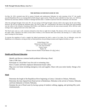#### **THE REPUBLICAN RIVER FLOOD OF 1935**

On May 30, 1935, torrential rains fell in eastern Colorado and southwestern Nebraska; by early morning of the 31<sup>st</sup>, the usually peaceful Republican River was running bluff-to-bluff along its upper reaches. When the waters subsided two days later, over 100 lives had been lost and many millions of dollars of damage had been done. A number of persons from this community were drowned.

**\_\_\_\_\_\_\_\_\_\_\_\_\_\_\_\_\_\_\_\_\_\_\_\_\_\_\_\_\_\_\_\_\_\_\_\_\_\_\_\_\_\_\_\_\_\_\_\_\_\_\_\_\_\_\_\_\_\_\_\_\_\_\_\_\_\_\_\_\_\_\_\_\_\_\_\_\_\_\_\_\_\_\_\_\_\_\_\_\_\_\_\_\_\_\_\_\_\_\_\_\_\_\_\_\_\_\_\_**

After the prolonged drought of the early 30's, the wet spring of 1935 had brought welcome relief to the region. By the end of May, however, the soil was nearing the saturation point. The rains of May 30<sup>th</sup>, concentrated in the basin of the South Fork and extending into the valleys of the Arikaree, Frenchman, Red Willow, and Medicine, poured into the main stream-normally 300 to 400 feet wide, turning it into a raging torrent one to four miles wide.

The flood water came as a wall, variously estimated at from three to eight feet in height. The advance of the crest was more rapid in the upper valley, reported at ten miles an hour above Trenton, at five between there and Oxford, and slowing to 2 ½ miles an hour upon crossing over into Kansas.

To prevent the repetition of such a tragedy the federal government has built a series of six dams, five in Nebraska, across the Republican or its tributaries, serving not only as flood protection, but providing recreation and irrigation facilities as well.

> Oxford Rotary Club Historical Land Mark Council U.S. 136, west of Oxford Furnas County Marker 39 (Distance between Marker 59 and Marker 39 is 96.2 miles.)

#### **Health and Physical Education**

- · Identify and discuss common health problems following a flood.
- · Take a CPR class.
- · Participate in a local Red Cross first aid or swimming class.
- · Have a Games and Parks employee demonstrate boater safety.
- · Map your own home including emergency exits and supplies. Share with your entire family. Design a fire exit map.

### **Math**

- · Determine the length of the Republican River beginning at Limon, Colorado to Orleans, Nebraska.
- · Determine the time elapsed from flood arrival at Benkelman, Nebraska to the arrival at Trenton, Nebraska and from Indianola to Oxford, Nebraska.
- · Simulate the rate of flood water by having a group of students walking, jogging, and sprinting fifty yards simultaneously.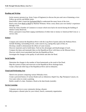# **Reading and Writing**

· Invite resource persons (e.g. Army Corps of Engineers) to discuss the pros and cons of damming a river. Follow up activity and debate issues.

**\_\_\_\_\_\_\_\_\_\_\_\_\_\_\_\_\_\_\_\_\_\_\_\_\_\_\_\_\_\_\_\_\_\_\_\_\_\_\_\_\_\_\_\_\_\_\_\_\_\_\_\_\_\_\_\_\_\_\_\_\_\_\_\_\_\_\_\_\_\_\_\_\_\_\_\_\_\_\_\_\_\_\_\_\_\_\_\_\_\_\_\_\_\_\_\_\_\_\_\_\_\_\_\_\_\_\_\_**

- · Read Willa Cather's book the Enchanted Bluff to understand the many facets of the river.
- · Read a story from Bluff to Bluff by Marlene Wilmont. Write a story about your own family's experience through a trial.
- · Write the Alma Chamber of Commerce to ensure which town had to be moved during the building of Harlan County Reservoir.
- · Write a persuasive essay/letter urging contributions of either time or money to American Red Cross or a service club.

### **Science**

- · Compare and contrast the Republican River with the Loup River System and/or the Niobrara River. Include flooding, surrounding terrain, water sources (e.g. spring fed), types of fish, etc.
- · Develop a model to demonstrate the effects of water erosion.
- · Discover materials used to build dams. Find out the advantages and disadvantages of each.
- · Compare the dams and manmade lakes on the Republican River with those on the Missouri River.
- · Discover which rivers/watersheds feed into the Republican River.
- · Investigate the changes in the quality of soils before and after the flood.

### **Social Studies**

- · Determine the changes in the number of farm homesteads as the result of the flood.
- · Map the system of dams and reservoirs on the Republican River drainage basin.
- · Create a flour/salt relief map of the Republican River and its tributaries.

### **Visual and Performing Arts**

- · Sketch river pictures comparing various Nebraska rivers.
- · Create a pictorial history of various floods such as Johnstown, Rapid City, Big Thompson Canyon, etc.
- · Use water colors to create a painting.
- · Build a model of a dam. Simulate a flood as the dam breaks (outside).

### **Service Learning**

- · Volunteer services to your community during a disaster.
- · Help prepare a disaster plan for your school, church, community organization.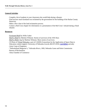# **General Activities**

- · Compile a list of students in your classroom who would help during a disaster.
- · Find out how much farmland was reclaimed by the government for the building of the Harlan County Reservoir.

**\_\_\_\_\_\_\_\_\_\_\_\_\_\_\_\_\_\_\_\_\_\_\_\_\_\_\_\_\_\_\_\_\_\_\_\_\_\_\_\_\_\_\_\_\_\_\_\_\_\_\_\_\_\_\_\_\_\_\_\_\_\_\_\_\_\_\_\_\_\_\_\_\_\_\_\_\_\_\_\_\_\_\_\_\_\_\_\_\_\_\_\_\_\_\_\_\_\_\_\_\_\_\_\_\_\_\_\_**

- · Make a flow chart of the land reclamation process.
- · Contact a Red Cross chapter for information or a presentation of the Red Cross' role/job during a flood disaster.

# **Resources**

- · Enchanted Bluff by Willa Cather
- · Bluff to Bluff by Marlene Wilmont. Stories of survivors of the 1935 floor.
- · Bluff to Bluff, Too by Marlene Wilmont. More stories of survivors.
- · CD Rom of Virtual Nebraska a part of CASDE (Consortium for the Application of Space Data to Education content support, University of Nebraska-Lincoln 402/472-0310, rperk@tan.unl.edu)
- · Army Corps of Engineers
- · "Nebraskaland Magazine's," *Nebraska Rivers*, 1983, Nebraska Game and Parks Commission
- · Bureau of Reclamation
- · Alma Chamber of Commerce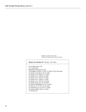Republican Valley Flood in 1935 Courtesy of Nebraska State Historical Society

### **Marker 59 to Marker 39** Distance: 96.2 miles From: Broken Bow, NE To: Oxford, NE Beginning at Broken Bow, NE Go Southeast on HWY 2, HWY 70, HWY 92 for 40.9 miles Go South on Armada St. for 0.2 miles Go South on U.S. 183 for 11.7 miles Go South on U.S. 180 for 2.3 miles Go South on U.S. 183 for 4.2 miles Go South on U.S. 180 for 2.7 miles Go South on U.S. 183 for 11.0 miles Go South on East Ave. for 0.6 miles Go South on Burlington St. for 1.4 miles Go West on W.  $4^{\text{th}}$  Ave. for 0.5 miles Go Southwest on U.S. 6 for 17.2 miles Go South on HWY 46 for 3.5 miles To Oxford, NE

**\_\_\_\_\_\_\_\_\_\_\_\_\_\_\_\_\_\_\_\_\_\_\_\_\_\_\_\_\_\_\_\_\_\_\_\_\_\_\_\_\_\_\_\_\_\_\_\_\_\_\_\_\_\_\_\_\_\_\_\_\_\_\_\_\_\_\_\_\_\_\_\_\_\_\_\_\_\_\_\_\_\_\_\_\_\_\_\_\_\_\_\_\_\_\_\_\_\_\_\_\_\_\_\_\_\_\_\_**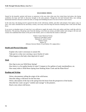#### **WILD HORSE SPRING**

Named for the beautiful, spirited wild horses so numerous in this area when white men first visited these lush plains, this Spring symbolizes the hope and faith its discovery brought to the early pioneers. Though the rich land beckoned them, men seeking homesteads had been reluctant to settle this land, so strange and forbidding because of its lack of known water sources.

**\_\_\_\_\_\_\_\_\_\_\_\_\_\_\_\_\_\_\_\_\_\_\_\_\_\_\_\_\_\_\_\_\_\_\_\_\_\_\_\_\_\_\_\_\_\_\_\_\_\_\_\_\_\_\_\_\_\_\_\_\_\_\_\_\_\_\_\_\_\_\_\_\_\_\_\_\_\_\_\_\_\_\_\_\_\_\_\_\_\_\_\_\_\_\_\_\_\_\_\_\_\_\_\_\_\_\_\_**

In the early days, this Spring served to quench the thirst of the wild horses, buffalo, and other wild animals of the region. Later, its clear, cool waters refreshed the hot and thirsty cowboy, trail weary from the long trek between Stinking Water Creek and the Platte River.

It was never an abundant source of water but it was sufficient to supply the needs of the early settlers until they could dig wells for themselves. The precious, life-giving water from this Spring, so far from any stream, provided comfort and courage to the men and women who established their homes in this part of the frontier, and it is to them that this marker is dedicated.

> Perkins County Historical Society Historical Land Mark Council Nebraska 61, north of Grant Perkins County Marker 29 (Distance between Marker 39 and Marker 29 is 144.4 miles.)

#### **Health and Physical Education**

- · Explain why water is necessary to sustain life.
- · Take part in a relay race carrying a cup or bucket of water.
- · What happens to the body when deprived of water?

### **Math**

- · How big in area was Wild Horse Spring?
- · How heavy is a five gallon bucket of water? Compare to five gallons of sand, marshmallows, etc.
- · How many miles is Wild Horse Spring from Stinking Water Creek and the Platte River?

### **Reading and Writing**

- · Write a documentary telling the origin of the wild horses.
- · Describe riding a wild horse for the first time.
- · Write a description of the trip to the spring from the house from the perspective of the bucket.
- · Describe how water can give "comfort and courage" to the pioneers.
- · Read a story about wild horses.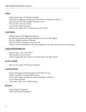### **Science**

- · What was the source of Wild Horse Spring?
- · What kind of indigenous animals may have drunk from Wild Horse Spring?
- · How have uses for water changed from then to now?
- · Why was this water so precious?
- · List ways for conserving water.
- ·What are the various ways of making water safe to drink?

# **Social Studies**

- · Describe steps in well digging then and now.
- · Find the ways pioneers discovered underground water for well digging.
- · Find five different springs in Nebraska.
- · Find out if there are springs in your local area.
- · Discover how the introduction of the horse changed the life of the Native American on the plains.

**\_\_\_\_\_\_\_\_\_\_\_\_\_\_\_\_\_\_\_\_\_\_\_\_\_\_\_\_\_\_\_\_\_\_\_\_\_\_\_\_\_\_\_\_\_\_\_\_\_\_\_\_\_\_\_\_\_\_\_\_\_\_\_\_\_\_\_\_\_\_\_\_\_\_\_\_\_\_\_\_\_\_\_\_\_\_\_\_\_\_\_\_\_\_\_\_\_\_\_\_\_\_\_\_\_\_\_\_**

# **Visual and Performing Arts**

- · Sing the song, "Cool, Clear Water."
- · Draw pictures of uses for water.
- · Have a visiting artist give a lesson on drawing horses and other animals.

# **Service Learning**

· Research the Adopt a Wild Horse Foundation.

# **General Activities**

- · Discuss advantages and disadvantages of hard and soft water.
- · Bring in a speaker on water softener systems.
- · Have a guest speaker tell about the steps in breaking a wild horse.
- · Go on a horse trail ride.
- · Take steps to help clean a polluted stream.

# **Resources**

- · Water Softener Companies
- · Adopt a Wild Horse Foundation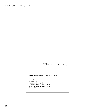Wild horses Courtesy of Nebraska Department of Economic Development

#### **Marker 39 to Marker 29** Distance: 144.4 miles

**\_\_\_\_\_\_\_\_\_\_\_\_\_\_\_\_\_\_\_\_\_\_\_\_\_\_\_\_\_\_\_\_\_\_\_\_\_\_\_\_\_\_\_\_\_\_\_\_\_\_\_\_\_\_\_\_\_\_\_\_\_\_\_\_\_\_\_\_\_\_\_\_\_\_\_\_\_\_\_\_\_\_\_\_\_\_\_\_\_\_\_\_\_\_\_\_\_\_\_\_\_\_\_\_\_\_\_\_**

 From: Oxford, NE To: Grant, NE Beginning at Oxford, NE Go West on HWY 136 for 10.2 miles Go West on HWY 34 for 134.2 miles To Grant, NE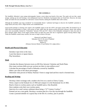#### **THE SANDHILLS**

The Sandhills, Nebraska's most unique physiographic feature, covers about one-fourth of the state. The sandy soil acts like a giant sponge, soaking up rain and forming a vast underground reservoir. Hundreds of permanent lakes are found here. However, the same sandy soil makes the area unsuitable for cultivation. Grasses flourish, making the Sandhills ideal cattle country.

**\_\_\_\_\_\_\_\_\_\_\_\_\_\_\_\_\_\_\_\_\_\_\_\_\_\_\_\_\_\_\_\_\_\_\_\_\_\_\_\_\_\_\_\_\_\_\_\_\_\_\_\_\_\_\_\_\_\_\_\_\_\_\_\_\_\_\_\_\_\_\_\_\_\_\_\_\_\_\_\_\_\_\_\_\_\_\_\_\_\_\_\_\_\_\_\_\_\_\_\_\_\_\_\_\_\_\_\_**

Although the Sandhills were long considered "an irreclaimable desert," cattlemen had begun to discover the Sandhills' potential as range land by the early 1870's. Huge ranches were established here.

Unsuccessful attempts at farming were made in the Sandhills region in the late 1870's and again around 1890. The Kinkaid Act of 1904 allowed homesteaders to claim a full section of land, rather than the quarter-section previously allowed. Nearly nine million acres were successfully claimed by "Kinkaiders" between 1910 and 1917. Some of the Kinkaiders attempted to farm, but most of these attempts failed. Many of the largest ranches broke up about the same time due to regulations against fencing federal range. Today the Sandhills contain many ranches, but none so large as those of the past.

> Historical Land Mark Council Nebraska 2 & U.S. 83, east of Thedford Thomas County Marker 63 (Distance between Marker 29 and Marker 63 is 136.3 miles.)

#### **Health and Physical Education**

- · Introduce rope tricks to the class.
- · Learn line dances or square dances.
- · Play horseshoes.

### **Math**

- · Calculate the distance between towns on #83 Hwy between Valentine and North Platte.
- · How many sections (640 acres per section) are there in nine million acres?
- · Calculate the percentage of land in Nebraska covered by Sandhills.
- · Make a pie chart of the above percentages.
- · Determine what percent of Halsey National Forest is range land and how much is forested trees.

### **Reading and Writing**

- · Develop a letter exchange with a student who lives on a ranch in Cherry County.
- · Write a report on the Kinkaid Act of 1904 and compare it to the Homestead Act of 1862.
- · Read or listen to cowboy poetry such as Sandhill native, Otto Rosefeld.
- · Have students write their own cowboy poem.
- · Interview by e-mail various cattlemen about being a " $21<sup>st</sup>$  Century Cowboy."
- · Pretend you are a tour guide. Develop a vacation plan for a five day trip through the Sandhills.
- · Create a journal/schedule of a typical day in the life of a cowboy, past or present.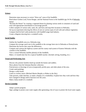## **Science**

- · Determine steps necessary to correct "blow-out" areas of the Sandhills.
- · Read about Gordon Lord, Forest Ranger, and the National Forest in the Sandhills (pp 34-36 of Nebraska Voices).

**\_\_\_\_\_\_\_\_\_\_\_\_\_\_\_\_\_\_\_\_\_\_\_\_\_\_\_\_\_\_\_\_\_\_\_\_\_\_\_\_\_\_\_\_\_\_\_\_\_\_\_\_\_\_\_\_\_\_\_\_\_\_\_\_\_\_\_\_\_\_\_\_\_\_\_\_\_\_\_\_\_\_\_\_\_\_\_\_\_\_\_\_\_\_\_\_\_\_\_\_\_\_\_\_\_\_\_\_**

- · "Reclaim the Desert" by creating a vegetated desert by planting various seeds in containers of sand and treat with appropriate nourishment to encourage growth.
- · Collect samples of various soils, sand, silt, and loess and map their locations in Nebraska.
- · Set-up an experiment showing the effects of rain on various types of soil with and without vegetation.
- · Compare feed lot beef cattle production with Sandhill range land industry.
- · Create a diagram showing how a windmill works.

# **Social Studies**

- · Outline the Sandhills area on a Nebraska map.
- · Compare the average ranch size in the sandhills to the average farm size in Nebraska or Pennsylvania.
- · Determine the factors that cause the differences.
- · Compare and contrast the highway system and the county road system of Eastern Nebraska with the counties in the Sandhills.
- · View a virtual Nebraska satellite photo(s) of the Sandhills.
- · Make a 12 month time line for a typical Sandhill rancher. (Include calving, branding, etc.)

# **Visual and Performing Arts**

- · Discuss why pioneer families lined-up outside the homes and soddies.
- · Show photos from the Soloman Butcher collection.
- · Find pictures or drawings of yucca (soapweed), prickly pear, and other plants of the area.
- · Create sand paintings.
- · Design a cattle brand.
- · Listen to cowboy music (Michael Martin Murphy or Riders in the Sky).
- · Take pictures, make sketches, or make a display of a windmill(s). Explain how they work and how they have changed in design and/or function over the years.
- · Make a balsa model of a windmill.

# **Service Learning**

- · Adopt a prairie program.
- · Sign a pledge to protect your water supply after generating a list of ways to protect the local water supply.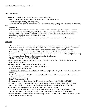# **General Activities**

- · Research Nebraska's largest sand golf course south of Mullen.
- · Compare the clothing worn by the 1898 cowboy versus the 1998 cowboy.
- · Visit a working ranch (e.g. Bowring Ranch).
- · Research different types of berries found in the Sandhills today (wild plum, elderberry, chokeberries,

**\_\_\_\_\_\_\_\_\_\_\_\_\_\_\_\_\_\_\_\_\_\_\_\_\_\_\_\_\_\_\_\_\_\_\_\_\_\_\_\_\_\_\_\_\_\_\_\_\_\_\_\_\_\_\_\_\_\_\_\_\_\_\_\_\_\_\_\_\_\_\_\_\_\_\_\_\_\_\_\_\_\_\_\_\_\_\_\_\_\_\_\_\_\_\_\_\_\_\_\_\_\_\_\_\_\_\_\_**

sand

- cherries, etc.).
- · Research the yucca soapweed to gather support for the following quote by Titus Coop: "For the Native Americans, the yucca was like going to K-Mart or Wal-Mart." They used the sharp tips of leaves for a sewing needle. They boiled the seed pods and ate them and the reason its called soapweed-that's because they dug up the roots and used them as soap.
- · Obtain a yucca and try making a sewing needle or soap. Find a recipe for the boiled seed pods.

# **Resources**

- · The Atlas of the Sand Hills, published by Conservation and Survey Division, Institute of Agriculture and Natural Resources, the University of Nebraska-Lincoln. An outstanding and thorough work on this area of Nebraska. Mainly a resource for teachers, but can also be interesting and useful for students.
- · CD Rom of Virtual Nebraska, a part of CASDE (Consortium for the Application of Space Data to Education content support, Rick Perk, University of Nebraska-Lincoln 402/472-0310, rperk@tan.unl.edu)
- · Cowboy poets: Baxter Black, Michael Martin Murphy, Otto Rosefeld
- · Thedford Art Gallery, Thedford, NE 69166
- · Nebraska Voices Telling the Stories of Our State, NE Q125 publication of the Nebraska Humanities Council, 1993, pp 34-36
- · Halsey National Forest, Bessey Nursery, Halsey, NE
- · Soil Conservation District Office/Natural Resource District
- · Nebraska Department of Tourism
- · A Treasury of Nebraska Pioneer Folklore, compiled by Roger L. Welsch, 1984, Bison Book (much poetry and song)
- · Sandhill Horizons, by Earl H. Monahan with Robert M. Howard, 1987 (A story of the Monahan ranch and other history of the area.)
- · Rader's Place, Alliance, NE
- · No Moving Parts, by Susan Strayer Deal (poetry), Ahsahta Press, 1980, ISBN 0-916272-ISX
- · Solomon D. Butcher Photographing the American Dream, by John E. Carter, University of Nebraska Press, 1985 (Butcher was a pioneer and he photographed pioneers particularly in the Sandhills.)
- · "Nebraska Trailblazer-Ranching," #8, Nebraska State Historical Society
- · "Cowkids Never Mind Their Mother's" by Judith Sounberger, pp 103-105 from Nebraska Voices Telling the Stories of Our State, Q125 Publication of the Nebraska Humanities Council, 1993
- · Bartlett Richards, Nebraska Sandhills Cattleman by Bartlett, Richards, Jr. with Ruth Van Ackeren, 1980, Nebraska State Historical Society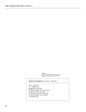Sandhills Courtesy of NEBRASKALAND Magazine Nebraska Game and Parks Commission

#### **Marker 29 to Marker 63** Distance: 136.3miles

**\_\_\_\_\_\_\_\_\_\_\_\_\_\_\_\_\_\_\_\_\_\_\_\_\_\_\_\_\_\_\_\_\_\_\_\_\_\_\_\_\_\_\_\_\_\_\_\_\_\_\_\_\_\_\_\_\_\_\_\_\_\_\_\_\_\_\_\_\_\_\_\_\_\_\_\_\_\_\_\_\_\_\_\_\_\_\_\_\_\_\_\_\_\_\_\_\_\_\_\_\_\_\_\_\_\_\_\_**

 From: Grant, NE To: Thedford, NE Beginning at Grant, NE Go North on HWY 61 for 18.9 miles Go East on I 80 for 50.3 miles Go North on U.S. 83 for 66.3 miles Go West on HWY 2 for 0.8 miles To Thedford, NE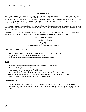#### **FORT NIOBRARA**

**\_\_\_\_\_\_\_\_\_\_\_\_\_\_\_\_\_\_\_\_\_\_\_\_\_\_\_\_\_\_\_\_\_\_\_\_\_\_\_\_\_\_\_\_\_\_\_\_\_\_\_\_\_\_\_\_\_\_\_\_\_\_\_\_\_\_\_\_\_\_\_\_\_\_\_\_\_\_\_\_\_\_\_\_\_\_\_\_\_\_\_\_\_\_\_\_\_\_\_\_\_\_\_\_\_\_\_\_**

When a Sioux Indian reservation was established north of here in Dakota Territory in 1878, early settlers in the region grew fearful of attack. They requested military protection, and in 1880 Fort Niobrara was built a few miles east of present-day Valentine. There was no later Indian trouble in the immediate area, and the Ghost Dance religion in the early 1890's brought the last major Indian scare. Among the officers once stationed at Fort Niobrara were John J. Pershing, later commander of U.S. forces in World War I, and Frederick W. Benteen, a survivor of General Custer's ill-fated staff.

Fort Niobrara was an active post until 1906. In 1912, part of the original military reservation was set aside as a national game preserve. It has since become Fort Niobrara National Wildlife Refuge, with ranges maintaining sizable herds of buffalo, elk, and Texas longhorn cattle.

Cherry County, a center of cattle production, was organized in 1883 and named for Lieutenant Samuel A. Cherry, a Fort Niobrara officer killed in the line of duty. Valentine, founded in 1882, was named for early-day congressman E. K. Valentine.

> Cherry County Historical Society Historical Land Mark Council Hwy 20, southeast of Valentine Cherry County Marker 87 Distance between Marker 63 and Marker 87 is 106.9 miles.)

#### **Health and Physical Education**

- · Invite a Native American who would demonstrate a dance from his/her tribe.
- · Organize and outfit a canoe trip either real or imaginary.
- · Compare beef and buffalo in terms of nutrition. Include fat content.

# **Math**

- · Determine the square acres/miles of the Fort Niobrara Wildlife Reserve.
- · Research the height of Fort Falls.
- · Create a time line of the history of Fort Niobrara.
- · Determine the difference in land area of Cherry County compared to your county.
- · Figure the percentage of land area occupied by Cherry County to all land area of Nebraska.
- · Compare beef/buffalo and deer/elk in terms of size and weight.

#### **Reading and Writing**

- · Write Fort Niobrara Visitor's Center and ask about types and numbers of animals on public display.
- · Read Bury My Heart at Wounded Knee, and write a poem expressing your feelings on the plight of the Sioux.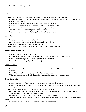## **Science**

- · Find the dietary needs of and food sources for the animals on display at Fort Niobrara.
- · Discover what disease affect the three herds at Fort Niobrara. Determine what can be done to prevent the spread of those diseases.

**\_\_\_\_\_\_\_\_\_\_\_\_\_\_\_\_\_\_\_\_\_\_\_\_\_\_\_\_\_\_\_\_\_\_\_\_\_\_\_\_\_\_\_\_\_\_\_\_\_\_\_\_\_\_\_\_\_\_\_\_\_\_\_\_\_\_\_\_\_\_\_\_\_\_\_\_\_\_\_\_\_\_\_\_\_\_\_\_\_\_\_\_\_\_\_\_\_\_\_\_\_\_\_\_\_\_\_\_**

- · What geological features are responsible for the waterfalls of Nebraska?
- · Compare and contrast the physical features of buffalo with domestic cattle.
- · Determine what characteristics made the longhorn popular in the past and what characteristics have caused the breed to be ignored by beef producers today.
- · Research and write a report on buffalo, elk, or Texas longhorn cattle.

# **Social Studies**

- · Investigate the beliefs behind the Ghost Dance.
- · Investigate John Pershing and his involvement with Fort Niobrara.
- · What is an National Wildlife Refuge? Report on it.
- · Map the territorial range of the Dakota Sioux from 1850, to the present day.

# **Visual and Performing Arts**

- · Create a diorama of the Wildlife Refuge.
- · Explore the art work and music of the Lakota Sioux through Native American resource persons.
- · Draw a pencil drawing of one of three large animals on the refuge.
- · Find photographs of deer, elk, buffalo, and longhorn cattle.

# **Service Learning**

- · Research history of the military's defense of settlers in Nebraska from 1860 to the period of Fort Niobrara.
- · Visit military forts in your area. Attend Civil War reinactments.
- · Volunteer to participate in historical activities at parks and museums in your community.

# **General Activities**

- · Discover needs at a wildlife refuge near you and take steps to meet those needs.
- · Discuss what animals need refuge in your area. Determine what steps would have to be taken to establish such a site.
- · Debate the pros and cons of making the Niobrara a protected river.
- · Plan a trip to the Valentine area. Develop an itinerary which includes sites in Valentine, Fort Niobrara Wildlife Refuge, Smith Falls, and Snake River Falls.
- · Research other areas John J. Pershing served during his military career.

· Write to Fort Niobrara National Wildlife Museum to find out details of the annual longhorn cattle auction.

· Visit a wildlife refuge near you and chart the wildlife on the preserve.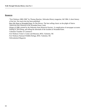## **Resources**

· "Fort Niobrara 1880-1906" by Thomas Buecker, *Nebraska History* magazine, fall 1984. A short history of the fort. Not much else has been published.

- · Bury My Heart at Wounded Knee, by Dee Brown. The best selling classic on the plight of Native Americans that climaxed at the Wounded Knee Creek.
- · Winter of 1980, printed by the Nebraska State Historical Society. A complication of newspaper accounts leading to, describing, and telling the aftermath of the incident at Wounded Knee.
- · Valentine Chamber of Commerce
- · Fort Niobrara Visitor's Center and Museum, RFD, Valentine, NE
- · Fort Niobrara National Wildlife Refuge, RFD, Valentine, NE
- · *Nebraskaland Magazine*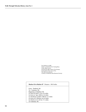Fort Niobrara in 1889 Seated: second from left, Turning Bear; Center, Blunt Arrow; Second from right, Follows The Woman; On horseback; left, Goes to War. The others are unknown. Courtesy of Nebraska State Historical Society

#### **Marker 63 to Marker 87** Distance: 106.9 miles

**\_\_\_\_\_\_\_\_\_\_\_\_\_\_\_\_\_\_\_\_\_\_\_\_\_\_\_\_\_\_\_\_\_\_\_\_\_\_\_\_\_\_\_\_\_\_\_\_\_\_\_\_\_\_\_\_\_\_\_\_\_\_\_\_\_\_\_\_\_\_\_\_\_\_\_\_\_\_\_\_\_\_\_\_\_\_\_\_\_\_\_\_\_\_\_\_\_\_\_\_\_\_\_\_\_\_\_\_**

 From: Thedford, NE To: Valentine, NE Beginning at Thedford, NE Go West on HWY 2 for 25.4 miles Go East on Spur 16B for 2.6 miles Go Northeast on HWY 16B for 11.3 miles Go East on S-16B Rd. for 6.0 miles Go North on U.S. 83 for 17.1 miles To Valentine, NE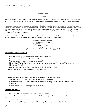#### **MARI SANDOZ**

**\_\_\_\_\_\_\_\_\_\_\_\_\_\_\_\_\_\_\_\_\_\_\_\_\_\_\_\_\_\_\_\_\_\_\_\_\_\_\_\_\_\_\_\_\_\_\_\_\_\_\_\_\_\_\_\_\_\_\_\_\_\_\_\_\_\_\_\_\_\_\_\_\_\_\_\_\_\_\_\_\_\_\_\_\_\_\_\_\_\_\_\_\_\_\_\_\_\_\_\_\_\_\_\_\_\_\_\_**

#### 1896-1966

This is the country of Mari Sandoz-historian, novelist, teacher-who brought its history and its people to life in her many books, articles, and stories. She was born in Sheridan County, Nebraska. Although she lived much of her life in the east, she is buried here in her own west.

Mari Sandoz was first famed for Old Jules (1935), the story of her father and other settlers who came to the upper Niobrara region in the late nineteenth century. Her greatest achievement is the series of six related books on life as it developed with Indian and white men in the trans-Missouri country: The Beaver Men, Crazy Horse, Cheyenne Autumn, The Buffalo Hunters, The Cattlemen, and Old Jules. In these, and a dozen other volumes, she presented the drama of man on the Great Plains more completely, accurately, and vividly than anyone before her had done.

Mari Sandoz was internationally known as a chronicler of the west and as an expert on Indian history. Her own aim was to understand all of life by understanding this one part of it how man shaped the Plains country, and how it shaped him.

> Nebraska Centennial Commission Historical Land Mark Council Hwy 27, 20 miles south of Gordon Sheridan County Marker 85 (Distance between Marker 87 and Marker 85 is 92.3 miles.)

#### **Health and Physical Education**

- · Research "growing up" in an isolated area like the Panhandle.
- · How did living in the Sandhills affect health?
- · Why did so many people go insane on the prairie?
- · Make a list of Panhandle early settlers' recreation. See the short story by Sandoz, The Christmas of the Phonograph Records.
- · Compare and contrast the diets of Sandoz's childhood and diets of today.
- · Determine what to do in case of a poisonous snake bite.

# **Math**

- · Compute the square miles of Sandhills in Nebraska or of a particular county.
- · What ratio of Mari Sandoz's 22 books dealt with Indian history?
- · How many miles did Old Jules traverse from his native country, Switzerland, to Sheridan County, Nebraska?
- · What is the area of a Nebraska pioneer homestead?

## **Reading and Writing**

- · Find a list of the 22 literary works written by Mari Sandoz.
- · Read aloud to your class, The Christmas of The Phonograph Records. Have the students write about a

real

- or created Christmas disaster.
- · Write a letter to Mari's sister, Caroline Pifer, and get her own stories about their childhood.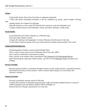## **Science**

- · Using Sandoz books, find at least five plants or vegetation mentioned.
- · Collect tales about rainmaking techniques in the dry Sandhills (e.g. prayer, church steeples, divining stick,

**\_\_\_\_\_\_\_\_\_\_\_\_\_\_\_\_\_\_\_\_\_\_\_\_\_\_\_\_\_\_\_\_\_\_\_\_\_\_\_\_\_\_\_\_\_\_\_\_\_\_\_\_\_\_\_\_\_\_\_\_\_\_\_\_\_\_\_\_\_\_\_\_\_\_\_\_\_\_\_\_\_\_\_\_\_\_\_\_\_\_\_\_\_\_\_\_\_\_\_\_\_\_\_\_\_\_\_\_**

- seeding clouds). See Chapter 8 of Old Jules.
- · What did Jules have to do to make the orchards thrive and grow in the dry Panhandle area?
- · Compare rainfall amounts in the Panhandle, central, and eastern Nebraska. Graph results.

# **Social Studies**

- · Locate Rushville and Gordon, Nebraska on a Nebraska map.
- · Find where Mari Sandoz is buried.
- · Compare the landscape and topography of western Nebraska with other parts of the state.
- · List the Native American groups of the area and describe how Sandoz portrayed them in her works.

# **Visual and Performing Arts**

- · Find photographs of Sandoz country (include Mirage Flats).
- · Write a report or show pictures on/of a Nebraska artist of the early 1900's.
- · Draw a picture of Old Jules as described by Sandoz.
- · Draw a picture of the Sandoz cabin as described in The Christmas of The Phonograph Record.
- · Read "Portraying the Landscape of Mari Sandoz," pp 129-131 from Nebraska Voices and report your findings.

# **Service Learning**

· Research pioneer families in community through cemetery records, family histories, community histories, State Historical Society, on-line research. Write a research report and give to a local library and historical societies.

# **General Activities**

- · Develop a personality character sketch of Old Jules.
- · Compare the University of Nebraska during the times Cather and Sandoz attended and now in terms of student population (size and gender), degrees offered, buildings, etc.
- · Research the life of Sandoz, and present it on a time line.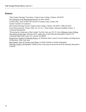## **Resources**

- · "Mari Sandoz Heritage" Newsletter, Chadron State College, Chadron, NE 69337
- · The Christmas of the Phonograph Records, by Mari Sandoz
- · Caroline Pifer, sister of Mari and overseer of Sandoz estate, Gordon, NE
- · Gordon Chamber of Commerce
- · Mari Sandoz Heritage Society, Chadron State College, Chadron, NE 69337, (308) 432-4451
- · Great Plains Quarterly, Winter 1996, Vol. 16, No. 1, Mari Sandoz, Nebraska Sandhills Author: A Centennial Recognition
- · "Portraying the Landscape of Mari Sandoz" by Kira Gale, pp 129-131, from Nebraska Voices Telling The Stories of Our State, Nebraska Q125, publication of the Nebraska Humanities Council, 215 Centennial Mall South, Suite 225, Lincoln, NE 68508

- · Perspectives: Women in Nebraska History, by Nebraska State Council of Social Studies and Department of Education, 1984, June issue
- · Mari Sandoz, Story of Catcher of the Plains, by Helen Stauffer (a Sandoz biography)
- · Old Jules Country, photographic exhibit by Kira Gale (may be borrowed from the Nebraska Humanities Council)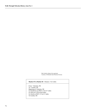Mari Sandoz sitting in her apartment Courtesy of Nebraska State Historical Society

#### **Marker 87 to Marker 85** Distance: 92.3 miles

**\_\_\_\_\_\_\_\_\_\_\_\_\_\_\_\_\_\_\_\_\_\_\_\_\_\_\_\_\_\_\_\_\_\_\_\_\_\_\_\_\_\_\_\_\_\_\_\_\_\_\_\_\_\_\_\_\_\_\_\_\_\_\_\_\_\_\_\_\_\_\_\_\_\_\_\_\_\_\_\_\_\_\_\_\_\_\_\_\_\_\_\_\_\_\_\_\_\_\_\_\_\_\_\_\_\_\_\_**

 From: Valentine, NE To: Gordon, NE Beginning at Valentine, NE Go Southwest on HWY 12 for 0.7 miles Go West on I 20 for 90.9 miles Go North on HWY 27 for 0.7 miles To Gordon, NE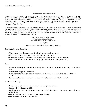#### **BURLINGTON LOCOMOTIVE 719**

**\_\_\_\_\_\_\_\_\_\_\_\_\_\_\_\_\_\_\_\_\_\_\_\_\_\_\_\_\_\_\_\_\_\_\_\_\_\_\_\_\_\_\_\_\_\_\_\_\_\_\_\_\_\_\_\_\_\_\_\_\_\_\_\_\_\_\_\_\_\_\_\_\_\_\_\_\_\_\_\_\_\_\_\_\_\_\_\_\_\_\_\_\_\_\_\_\_\_\_\_\_\_\_\_\_\_\_\_**

By the mid-1880's the Sandhills had become an important cattle-raising region. The extension of the Burlington and Missouri Railroad westward through the Sandhills in 1877-1888 made ranching more profitable by making more accessible eastern markets. By 1888, the Burlington had reached burgeoning Alliance, planned as a railroad junction and named by B & M engineer J. N. Paul. Material for building the Belmont Tunnel (about 30 miles northwestward), supplies for the Newcastle, Wyoming coal mines, and equipment for grading camps on the line between Alliance to Newcastle were freighted overland from Alliance while it served as the Burlington's western terminus.

Locomotive Number 719, built at the Havelock, Nebraska, shops around 1903, was used for most of its half century of service on the Burlington's Alliance Division. Late in its career 719 was used on the Sterling, Colorado, to Cheyenne, Wyoming, branch line. Representative of the steam-power era of railroading, it was one of the K-4 locomotives, mainline passenger types, built at Havelock. The 86-ton engine, donated by C B & Q to the city of Alliance in 1962 and refurbished by Burlington Northern volunteers, is now located on land donated to Alliance by John D. Nielsen.

> Alliance Area Chamber of Commerce Nebraska State Historical Society Diamond Hill Park, RR #2 on Hwy 2, Alliance Box Butte County Marker 268 (Distance between Marker 85 and Marker 268 is 72.8 miles.)

#### **Health and Physical Education**

- · What were some of the safety issues involved in operating a locomotive?
- · How has crossbar usage changed from mid-1880's to present day?
- · Have a guest speaker or visit a train yard and see how safety in train travel has changed.
- · Contrast the locomotive with the human body (e.g. coal-food, wheel-foot, piston-heart).

## **Math**

- · Calculate how many coal cars are in the average train and how many coal trains go through Alliance each day.
- · What was the weight of a locomotive?
- · How long would it take to ride the train from the Missouri River in eastern Nebraska to Alliance in 1888?
- · Compare angles and levers on the locomotive with angles and levers of the human body.

## **Reading and Writing**

- · Write and find out how many people work in the train yard in Alliance.
- · Journal a day on the train in 1903.
- · Read parts of Across America on an Emigrant Train, which describes travel minute by minute (sleeping, eating, etc.).
- · Compare and contrast a locomotive of yesterday and today.
- · Interview a train engineer. Share findings.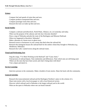## **Science**

- · Compare fuel and speeds of trains then and now.
- · Compare products transported then and now.
- · Compare passenger trains then and now.
- · Research the train car make-up then and now.

# **Social Studies**

- · Compare a railroad yard (Havelock, North Platte, Alliance, etc.) of yesterday and today.
- · What was the purpose of the caboose and why has it become obsolete?
- · Draw a map of Nebraska and plot the route of the Burlington and Missouri Railroad.
- · What ever happened to Havelock, Nebraska?
- · Make a diorama of a boom town or ghost town.
- · Research towns or businesses in your county that died when the railroad left.
- · Research the immigrant houses the railroad built for the settlers whom they brought to Nebraska (e.g. Henderson, Nebraska)

**\_\_\_\_\_\_\_\_\_\_\_\_\_\_\_\_\_\_\_\_\_\_\_\_\_\_\_\_\_\_\_\_\_\_\_\_\_\_\_\_\_\_\_\_\_\_\_\_\_\_\_\_\_\_\_\_\_\_\_\_\_\_\_\_\_\_\_\_\_\_\_\_\_\_\_\_\_\_\_\_\_\_\_\_\_\_\_\_\_\_\_\_\_\_\_\_\_\_\_\_\_\_\_\_\_\_\_\_**

· Research the A,B,C named towns along the railroad routes.

# **Visual and Performing Arts**

- · Sing the songs, "I've Been Working on the Railroad" and "Casey Jones."
- · Find pictures of railroad depots. Note similarities and differences. Note which ones are still being used. Where are the ones that have been saved, and what's being done with them?
- · Visit a depot and sketch it.

# **Service Learning**

· Interview persons in the community. Make a booklet of train stories. Share the book with the community.

# **General Activities**

- · Research the transcontinental railroad and the Burlington Northern's place in the scheme of it.
- · Share train stories with a local newspaper or with a local historical society.
- · Discover which railroad yard in Nebraska is the largest railroad yard in the world.
- · What are the spots in Nebraska where one can board Amtrak?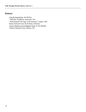### **Resources**

- · Lincoln Journal Star, Jim McKee
- · "Nebraska Trailblazer, Railroads" #10
- · "Nebraskaland-The Saga of the Railroad," August, 1981

- · Bailey Railroad Yard, North Platte, Nebraska
- · Across America on an Emigrant Train, by Jim Murphy
- · Alliance Railroad Yard, Alliance, NE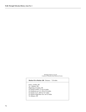Burlington Depot in Lincoln Courtesy of Nebraska State Historical Society

#### **Marker 85 to Marker 268** Distance: 72.8 miles

**\_\_\_\_\_\_\_\_\_\_\_\_\_\_\_\_\_\_\_\_\_\_\_\_\_\_\_\_\_\_\_\_\_\_\_\_\_\_\_\_\_\_\_\_\_\_\_\_\_\_\_\_\_\_\_\_\_\_\_\_\_\_\_\_\_\_\_\_\_\_\_\_\_\_\_\_\_\_\_\_\_\_\_\_\_\_\_\_\_\_\_\_\_\_\_\_\_\_\_\_\_\_\_\_\_\_\_\_**

 From: Gordon, NE To: Alliance, NE Beginning at Gordon, NE Go South on HWY 27 for 0.4 miles Go Southwest on U.S. 20 for 55.4 miles Go South on U.S. 385 for 16.7 miles Go North on Big Horn Ave. for 0.3 miles To Alliance, NE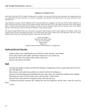#### **BORDEAUX TRADING POST**

From about 1846 until 1872, an Indian "trading house" occupied a site near here. Built by James Bordeaux, the trading station was once attacked and set afire by hostile Crow warriors. Fortunately, some friendly Sioux Indians came to the rescue and drove off the attacking Crow.

**\_\_\_\_\_\_\_\_\_\_\_\_\_\_\_\_\_\_\_\_\_\_\_\_\_\_\_\_\_\_\_\_\_\_\_\_\_\_\_\_\_\_\_\_\_\_\_\_\_\_\_\_\_\_\_\_\_\_\_\_\_\_\_\_\_\_\_\_\_\_\_\_\_\_\_\_\_\_\_\_\_\_\_\_\_\_\_\_\_\_\_\_\_\_\_\_\_\_\_\_\_\_\_\_\_\_\_\_**

James Bordeaux was from a French settlement near St. Louis and while yet a young boy, he went west with fur traders. Bordeaux was active in the fur trade in the vicinity of Fort Laramie from the 1830's until the 1870's. In the 1840's, he served as host to the explorer John C. Fremont and the historian Francis Parkman. He left his name to Bordeaux Bend near Fort Laramie, scene of the Grattan Massacre. His name also survives in the name of Bordeaux Creek, near this marker.

The Indians brought buffalo robes, furs, and ponies to this post to trade for guns, powder, beads, blankets, and whiskey. Some of the weapons may have been used against the troops at Fort Phil Kearny and Custer's troops at the Little Big Horn. The story of James Bordeaux's life is the story of the Upper Missouri country from the 1830's-1870's.

> Citizens of Chadron Historical Land Mark Council U.S. 20, east of Chadron Dawes County Marker 42 (Distance between Marker 268 and Marker 42 is 59.0 miles.)

#### **Health and Physical Education**

- · Explore safety issues regarding the use of firearms, ammo, powder, and whiskey.
- · Write safety rules for the traders and Native Americans to use in their day.
- · Research the diet of fur traders and/or Native Americans.
- · Research the effects of alcohol.

## **Math**

- · Calculate the number of miles traveled from Bordeaux Trading Post to Fort Laramie and from the Post to the Little Big Horn.
- · Have classes create math story problems to coincide with the fur trading era.
- · Set prices for the trading goods and determine how many robes, furs, and ponies needed to buy supplies.
- · Determine the value of various hides, pelts, and furs today. Graph results.
- · Research how many pelts the average fur trader collected each year.
- · Calculate the distance between the Trading Post and Fort Robinson and the time it took for travel by

horse

or foot.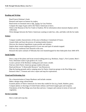## **Reading and Writing**

- · Read Francis Parkman's book.
- · Research and report on famous fur traders.
- · Read stories on mountain men or Mr. Tucket, by Gary Paulson
- · Compare the range of guns sold to the Native Americans to bows.
- · Write to the Museum of the Fur Trade in Chadron, NE for information about museum displays and its collections.

**\_\_\_\_\_\_\_\_\_\_\_\_\_\_\_\_\_\_\_\_\_\_\_\_\_\_\_\_\_\_\_\_\_\_\_\_\_\_\_\_\_\_\_\_\_\_\_\_\_\_\_\_\_\_\_\_\_\_\_\_\_\_\_\_\_\_\_\_\_\_\_\_\_\_\_\_\_\_\_\_\_\_\_\_\_\_\_\_\_\_\_\_\_\_\_\_\_\_\_\_\_\_\_\_\_\_\_\_**

· Write dialogue between the Native Americans wanting to trade furs, robe, and hides with the fur trader.

## **Science**

- · Compare weather characteristics of this area to Bordeaux's homeland of France.
- · Acquire hides and learn the process of tanning (student hunters).
- · Discover the chemical ingredients in gun powder and whiskey.
- · Inquire about current trapping practices in your area and types of animals trapped.
- · Find out why coniferous trees flourish in this area.
- · Research the native animals of Nebraska that were hunted/trapped for their hides/pelts from 1840-1870.

## **Social Studies**

- · Draw a map of the plains and locate several trading posts (e.g. Bordeaux, Sarpy's, Fort Laramie, Bent's Fort). Determine routes to get goods to St. Louis.
- · Locate a picture of the Bordeaux trading post and create a model.
- · Find out which Native American groups traded at this post.
- · Read and discuss "A Renewable Resource" (see Resources).
- · Map the hunting grounds and/or camping areas for Native American groups in the Pine Ridge area.
- · Research John C. Fremont and write a report and map his explorations.

# **Visual and Performing Arts**

- · Do a characterization of James Bordeaux and include costume.
- · Make a design using colored beads.
- · Examine photos of Native Americans for items they traded for furs (e.g. beads, blankets, guns).
- · Compare photos or drawings of United States military and French trapper guns and weapons.
- · Find photos of the Pine Ridge area from then and now. Compare and contrast in terms of trees and vegetation.

# **Service Learning**

· Have a trade and swap day.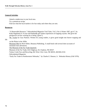# **General Activities**

- · Attend a rendezvous in your local area.
- · Try a pemmican recipe.
- · Find out what the local market is for furs today and where they are sent.

# **Resources**

· "A Renewable Resource," *Nebraskaland Magazine* Trail Tales, Vol 3, No 4, Winter 1997, pp 6-7, by Kady Hogeland (A 14 year old Panhandle girl relates experiences of trapping coyotes. She gives her perspective on how wearing fur is being "green").

- · Mr. Tucket by Gary Paulson. Written for young readers, it gives good insight into beaver trapping and life
	- on the Plains in the 1850s.
	- · Mountain Men by Rick Steber, Bonanza Publishing. A small book with several short accounts of mountain man adventures.
	- · The Museum of the Fur Trade Quarterly
	- · Museum of the Fur Trade, 6321 Highway 20, Chadron, NE 69337
	- · Turkey Creek Furs and Recycling, 841 West 11th, Crete, NE 68333, 402/826-2516
	- · *Nebraskaland Magazine*
	- · "Early Fur Trade in Northwestern Nebraska," by Charles E. Hanson, Jr. Nebraska History (Fall 1976).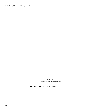Reconstructed Bordeaux Trading Post Courtesy of Nebraska State Historical Society

**Marker 268 to Marker 42** Distance: 59.0 miles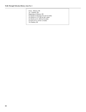From: Alliance, NE To: Chadron, NE Beginning at Alliance, NE Go South on Cheyenne Ave for 0.3 miles Go North on U.S. 385 for 48.1 miles Go North on U.S. 385 for 9.6 miles Go East on U.S. 20 for 1.0 miles To Chadron, NE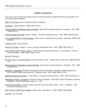#### **GENERAL RESOURCES**

**\_\_\_\_\_\_\_\_\_\_\_\_\_\_\_\_\_\_\_\_\_\_\_\_\_\_\_\_\_\_\_\_\_\_\_\_\_\_\_\_\_\_\_\_\_\_\_\_\_\_\_\_\_\_\_\_\_\_\_\_\_\_\_\_\_\_\_\_\_\_\_\_\_\_\_\_\_\_\_\_\_\_\_\_\_\_\_\_\_\_\_\_\_\_\_\_\_\_\_\_\_\_\_\_\_\_\_\_**

If you see a void in resources provided, please contact the Division of Health Promotion and Education (471- 2101) with ideas for additions.

Battle of the Bridges by Rex German and Russ Czaplewski.

Centennial. James Michener. ISBN 0-449-21419-2.

- Colonial America Cooperative Learning Activities. Mary Strohl and Susan Schneck. Scholastic. 1991. ISBN 0-590-49133-4.
- The Great Platte River Road. Merrill J. Mattes. University of Nebraska Press. 1992. ISBN 0-8032-8153-6.
- If You Traveled West in a Covered Wagon. Ellen Levine. Illustrated by Elroy Freem. Scholastic. ISBN 0-590- 45158-8.

I Walked to Zion. Susan Madsen.

Indians of the Plains. Robert H. Lowie. University of Nebraska Press. 1982. ISBN 0-8032-7907-8.

Make It Work! North American Indians. Andrew Haslam & Alexandra Parsons. Two-Can Book. Thomson Learing, Publisher. 1995. ISBN 1 56847-137-8.

Mormons Time Line.

- My Folks Came in a Covered Wagon, Roote and Huff, ed. 1991. Capper Press, Topeka, KS. ISBN 0-941678- 13-x.
- Native Americans Cooperative Learning Activities. Mary Strohl and Susan Schneck. Scholastic. 1991. ISBN 0-590-49151-2.
- Nebraska: A Geography (Westview Geographies of the United States). Bradley H. Baltensperger (out of print―source through inter-library loan). Westview Press. 1985. ISBN 0-86531-218-4.
- Nebraska Historical Tour Guide. D. Ray Wilson. Crossroads Communications. 1988. ISBN 0-916445-21-6.
- Nebraska Our Towns…6 Volumes A Second Century Publication. Jane Graff, Project Coordinator of Seward, NE 68434. Taylor Publishing Co. Dallas, TX. 1991.
- Nebraska Place Names. Gives the origin of the town name and ethnic culture. Lilian L. Fitzpatrick. 1960. University of Nebraska Press.
- North American Indian Sign Language. Karen Liptak. Scholastic, Inc. 1990. ISBN 0-590-50829-6.

Nya Nuki. Ken Thomasa.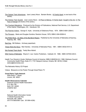- The Orphan Train Adventures. Joan Lowery Nixon. Bantam Books. (A Family Apart, is one book of the series).
- The Orphan Train Quartet. Joan Lowery Nixon. (A Place to Belong, A Family Apart, Caught in the Act, In The Face of Danger are books of the series.)

**\_\_\_\_\_\_\_\_\_\_\_\_\_\_\_\_\_\_\_\_\_\_\_\_\_\_\_\_\_\_\_\_\_\_\_\_\_\_\_\_\_\_\_\_\_\_\_\_\_\_\_\_\_\_\_\_\_\_\_\_\_\_\_\_\_\_\_\_\_\_\_\_\_\_\_\_\_\_\_\_\_\_\_\_\_\_\_\_\_\_\_\_\_\_\_\_\_\_\_\_\_\_\_\_\_\_\_\_**

- The Overland Migrations. Produced by the Division of Publications, National Park Service, U.S. Department of the Interior; Washington, DC. Handbook 105.
- The Pawnee Indians. George E. Hyde. University of Oklahoma Press. 1974. ISBN 0-8061-2094-0.
- The Pioneers. Marie and Douglas Gorsline; Random House; 1978; ISBN 0-394-83904-8.
- The Platte River: An Atlas of the Big Bend Region. Published by the University of Nebraska at Kearney, Kearney, NE. 1993.

Red Dog. Bill Wallace. Archway paperback.

These Were the Sioux. Mari Sandoz. University of Nebraska Press. 1961. ISBN 0-8032-9151-5.

We Pointed Them North. Teddy Blue Abbott.

Wild Towns of Nebraska. Wayne C. Lee. Caxton Publishers. Caldwell, ID. 1988. ISBN 0-87004-325-0.

Health Tour Director's Guide; Wellness Council of America; ISBN 0-9628334-6-0; 1996; Wellness Council; Community Health Plaza, Suite 311; 7101 Newport Avenue, Omaha, NE 68152, E-Mail: welcoa@neonramp.com

The Nebraska History CD Project

Videos: Blossoms on the Prairie Through Great Plains TV

#### **Great Plains Trails Network**

5000 North 7<sup>th</sup> Street Lincoln, NE 68521

#### **Health Observances Calendar**

 American School Health Association P.O. Box 708 Kent, OH 44240 216/678-1601

OR

 National Health Information Center 11426/28 Rockville Pike Rockville, MD 20852 301/770-5800/5801 (fax: 301/984-4256)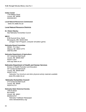#### **Indian Center**

1100 Military Road Lincoln, NE 68508 402/438-5231

**Local Natural Resources Commission** 

www.nrc.state.ne.us/

## **Local Natural Resource Districts**

**Dr. Robert Manley**  See Nebraska Humanities Council

#### **MECC**

 6160 Summit Drive, North Minneapolis, MN 55430-4003 (Oregon Trail II Program, computer simulation game)

**\_\_\_\_\_\_\_\_\_\_\_\_\_\_\_\_\_\_\_\_\_\_\_\_\_\_\_\_\_\_\_\_\_\_\_\_\_\_\_\_\_\_\_\_\_\_\_\_\_\_\_\_\_\_\_\_\_\_\_\_\_\_\_\_\_\_\_\_\_\_\_\_\_\_\_\_\_\_\_\_\_\_\_\_\_\_\_\_\_\_\_\_\_\_\_\_\_\_\_\_\_\_\_\_\_\_\_\_**

## **Nebraska Brand Committee**

 HDQS: P.O. Box I Alliance, NE 69301-0775 308/762-2496

## **Nebraska Department of Agriculture**

 301 Centennial Mall South Lincoln, NE 68509-4947 402/471-2341 www.agr.state.ne.us/

## **Nebraska Department of Health and Human Services**

Division of Health Promotion and Education 301 Centennial Mall South Lincoln, NE 68509-5044 402/471-2101 *Nebraska Tour brochure and other physical activity materials available www.hhs.state.ne.us* 

## **Nebraska Humanities Council**

 215 Centennial Mall South Lincoln, NE 68508 402/474-2131

#### **Nebraska State Historical Society**

 1500 R Street Box 82554 Lincoln, NE 68501 800/833-6747 Nebraska Trailblazer Newspaper www.nebraskahistory.org/